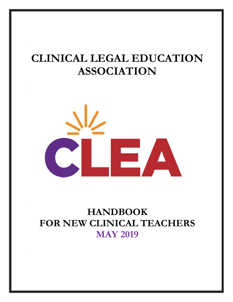# **CLINICAL LEGAL EDUCATION ASSOCIATION**



# **HANDBOOK FOR NEW CLINICAL TEACHERS MAY 2019**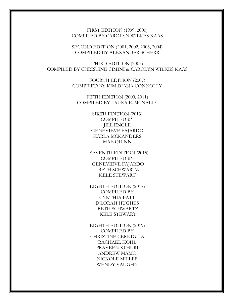FIRST EDITION (1999, 2000) COMPILED BY CAROLYN WILKES KAAS

SECOND EDITION (2001, 2002, 2003, 2004) COMPILED BY ALEXANDER SCHERR

THIRD EDITION (2005) COMPILED BY CHRISTINE CIMINI & CAROLYN WILKES KAAS

> FOURTH EDITION (2007) COMPILED BY KIM DIANA CONNOLLY

FIFTH EDITION (2009, 2011) COMPILED BY LAURA E. MCNALLY

> SIXTH EDITION (2013) COMPILED BY JILL ENGLE GENEVIEVE FAJARDO KARLA MCKANDERS MAE QUINN

 SEVENTH EDITION (2015) COMPILED BY GENEVIEVE FAJARDO BETH SCHWARTZ KELE STEWART

EIGHTH EDITION (2017) COMPILED BY CYNTHIA BATT D'LORAH HUGHES BETH SCHWARTZ KELE STEWART

EIGHTH EDITION (2019) COMPILED BY CHRISTINE CERNIGLIA RACHAEL KOHL PRAVEEN KOSURI ANDREW MAMO NICKOLE MILLER WENDY VAUGHN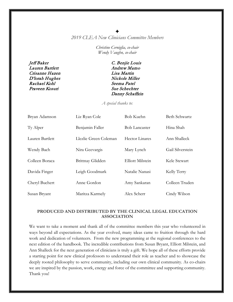### ✦

*2019 CLEA New Clinicians Committee Members*

*Christine Cerniglia, co-chair Wendy Vaughn, co-chair*

Jeff Baker C. Benjie Louis Lauren Bartlett Andrew Mamo Crisanne Hazen Lisa Martin D'lorah Hughes Nickole Miller Rachael Kohl Seema Patel Praveen Kosuri Sue Schechter

Danny Schaffzin

*A special thanks to:*

| Bryan Adamson   | Liz Ryan Cole         | Bob Kuehn               | <b>Beth Schwartz</b> |
|-----------------|-----------------------|-------------------------|----------------------|
| Ty Alper        | Benjamin Faller       | <b>Bob Lancaster</b>    | Hina Shah            |
| Lauren Bartlett | Llezlie Green Coleman | Hector Linares          | Ann Shalleck         |
| Wendy Bach      | Nira Geevargis        | Mary Lynch              | Gail Silverstein     |
| Colleen Boraca  | Brittnay Glidden      | <b>Elliott Milstein</b> | Kele Stewart         |
| Davida Finger   | Leigh Goodmark        | Natalie Nanasi          | Kelly Terry          |
| Cheryl Buchert  | Anne Gordon           | Amy Sankaran            | Colleen Truden       |
| Susan Bryant    | Maritza Karmely       | Alex Scherr             | Cindy Wilson         |

#### **PRODUCED AND DISTRIBUTED BY THE CLINICAL LEGAL EDUCATION ASSOCIATION**

We want to take a moment and thank all of the committee members this year who volunteered in ways beyond all expectations. As the year evolved, many ideas came to fruition through the hard work and dedication of volunteers. From the new programming at the regional conferences to the next edition of the handbook. The incredible contributions from Susan Bryant, Elliott Milstein, and Ann Shalleck for the next generation of clinicians is truly a gift. We hope all of these efforts provide a starting point for new clinical professors to understand their role as teacher and to showcase the deeply rooted philosophy to serve community, including our own clinical community. As co-chairs we are inspired by the passion, work, energy and force of the committee and supporting community. Thank you!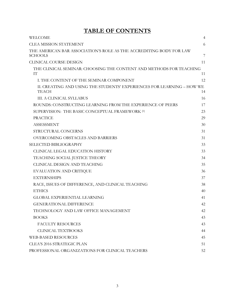# **TABLE OF CONTENTS**

| WELCOME                                                                                | $\overline{4}$ |
|----------------------------------------------------------------------------------------|----------------|
| <b>CLEA MISSION STATEMENT</b>                                                          | 6              |
| THE AMERICAN BAR ASSOCIATION'S ROLE AS THE ACCREDITING BODY FOR LAW<br><b>SCHOOLS</b>  | 7              |
| <b>CLINICAL COURSE DESIGN</b>                                                          | 11             |
| THE CLINICAL SEMINAR: CHOOSING THE CONTENT AND METHODS FOR TEACHING<br>IT              | 11             |
| I. THE CONTENT OF THE SEMINAR COMPONENT                                                | 12             |
| II. CREATING AND USING THE STUDENTS' EXPERIENCES FOR LEARNING - HOW WE<br><b>TEACH</b> | 14             |
| <b>III. A CLINICAL SYLLABUS</b>                                                        | 16             |
| ROUNDS: CONSTRUCTING LEARNING FROM THE EXPERIENCE OF PEERS                             | 17             |
| SUPERVISION: THE BASIC CONCEPTUAL FRAMEWORK [1]                                        | 23             |
| <b>PRACTICE</b>                                                                        | 29             |
| <b>ASSESSMENT</b>                                                                      | 30             |
| STRUCTURAL CONCERNS                                                                    | 31             |
| <b>OVERCOMING OBSTACLES AND BARRIERS</b>                                               | 31             |
| <b>SELECTED BIBLIOGRAPHY</b>                                                           | 33             |
| CLINICAL LEGAL EDUCATION HISTORY                                                       | 33             |
| TEACHING SOCIAL JUSTICE THEORY                                                         | 34             |
| CLINICAL DESIGN AND TEACHING                                                           | 35             |
| EVALUATION AND CRITIQUE                                                                | 36             |
| <b>EXTERNSHIPS</b>                                                                     | 37             |
| RACE, ISSUES OF DIFFERENCE, AND CLINICAL TEACHING                                      | 38             |
| <b>ETHICS</b>                                                                          | 40             |
| <b>GLOBAL EXPERIENTIAL LEARNING</b>                                                    | 41             |
| <b>GENERATIONAL DIFFERENCE</b>                                                         | 42             |
| TECHNOLOGY AND LAW OFFICE MANAGEMENT                                                   | 42             |
| <b>BOOKS</b>                                                                           | 43             |
| <b>FACULTY RESOURCES</b>                                                               | 43             |
| <b>CLINICAL TEXTBOOKS</b>                                                              | 44             |
| <b>WEB-BASED RESOURCES</b>                                                             | 45             |
| <b>CLEA'S 2016 STRATEGIC PLAN</b>                                                      | 51             |
| PROFESSIONAL ORGANIZATIONS FOR CLINICAL TEACHERS                                       | 52             |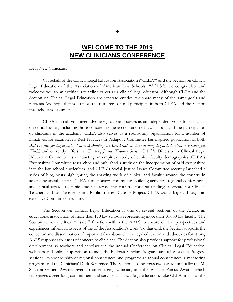# **WELCOME TO THE 2019 NEW CLINICIANS CONFERENCE**

✦

<span id="page-4-0"></span>Dear New Clinicians,

On behalf of the Clinical Legal Education Association ("CLEA") and the Section on Clinical Legal Education of the Association of American Law Schools ("AALS"), we congratulate and welcome you to an exciting, rewarding career as a clinical legal educator. Although CLEA and the Section on Clinical Legal Education are separate entities, we share many of the same goals and interests. We hope that you utilize the resources of and participate in both CLEA and the Section throughout your career.

CLEA is an all-volunteer advocacy group and serves as an independent voice for clinicians on critical issues, including those concerning the accreditation of law schools and the participation of clinicians in the academy. CLEA also serves as a sponsoring organization for a number of initiatives: for example, its Best Practices in Pedagogy Committee has inspired publication of both *Best Practices for Legal Education* and *Building On Best Practices: Transforming Legal Education in a Changing World*, and currently offers the *Teaching Justice Webinar Series*; CLEA's Diversity in Clinical Legal Education Committee is conducting an empirical study of clinical faculty demographics; CLEA's Externships Committee researched and published a study on the incorporation of paid externships into the law school curriculum, and CLEA's Social Justice Issues Committee recently launched a series of blog posts highlighting the amazing work of clinical and faculty around the country in advancing social justice. CLEA also sponsors community-building activities, regional conferences, and annual awards to clinic students across the country, for Outstanding Advocate for Clinical Teachers and for Excellence in a Public Interest Case or Project. CLEA works largely through an extensive Committee structure.

The Section on Clinical Legal Education is one of several sections of the AALS, an educational association of more than 170 law schools representing more than 10,000 law faculty. The Section serves a critical "insider" function within the AALS to ensure clinical perspectives and experiences inform all aspects of the of the Association's work. To that end, the Section supports the collection and dissemination of important data about clinical legal education and advocates for strong AALS responses to issues of concern to clinicians. The Section also provides support for professional development as teachers and scholars via the annual Conference on Clinical Legal Education, webinars and online supervision rounds, the Bellows Scholar Program, annual Works-in-Progress sessions, its sponsorship of regional conferences and programs at annual conferences, a mentoring program, and the Clinicians' Desk Reference. The Section also bestows two awards annually: the M. Shanara Gilbert Award, given to an emerging clinician, and the William Pincus Award, which recognizes career-long commitment and service to clinical legal education. Like CLEA, much of the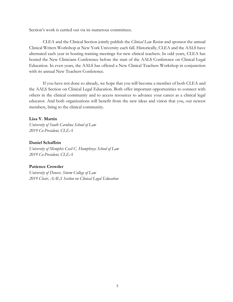Section's work is carried out via its numerous committees.

CLEA and the Clinical Section jointly publish the *Clinical Law Review* and sponsor the annual Clinical Writers Workshop at New York University each fall. Historically, CLEA and the AALS have alternated each year in hosting training meetings for new clinical teachers. In odd years, CLEA has hosted the New Clinicians Conference before the start of the AALS Conference on Clinical Legal Education. In even years, the AALS has offered a New Clinical Teachers Workshop in conjunction with its annual New Teachers Conference.

If you have not done so already, we hope that you will become a member of both CLEA and the AALS Section on Clinical Legal Education. Both offer important opportunities to connect with others in the clinical community and to access resources to advance your career as a clinical legal educator. And both organizations will benefit from the new ideas and vision that you, our newest members, bring to the clinical community.

#### **Lisa V. Martin**

*University of South Carolina School of Law 2019 Co-President, CLEA*

#### **Daniel Schaffzin**

*University of Memphis Cecil C. Humphreys School of Law 2019 Co-President, CLEA*

#### **Patience Crowder**

*University of Denver, Sturm College of Law 2019 Chair, AALS Section on Clinical Legal Education*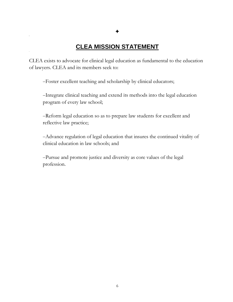# **CLEA MISSION STATEMENT**

<span id="page-6-0"></span>CLEA exists to advocate for clinical legal education as fundamental to the education of lawyers. CLEA and its members seek to:

−Foster excellent teaching and scholarship by clinical educators;

−Integrate clinical teaching and extend its methods into the legal education program of every law school;

−Reform legal education so as to prepare law students for excellent and reflective law practice;

−Advance regulation of legal education that insures the continued vitality of clinical education in law schools; and

−Pursue and promote justice and diversity as core values of the legal profession.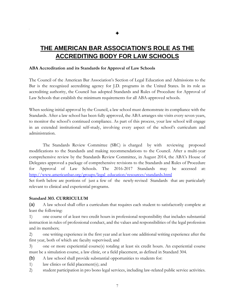# <span id="page-7-0"></span>**THE AMERICAN BAR ASSOCIATION'S ROLE AS THE ACCREDITING BODY FOR LAW SCHOOLS**

#### **ABA Accreditation and its Standards for Approval of Law Schools**

The Council of the American Bar Association's Section of Legal Education and Admissions to the Bar is the recognized accrediting agency for J.D. programs in the United States. In its role as accrediting authority, the Council has adopted Standards and Rules of Procedure for Approval of Law Schools that establish the minimum requirements for all ABA-approved schools.

When seeking initial approval by the Council, a law school must demonstrate its compliance with the Standards. After a law school has been fully approved, the ABA arranges site visits every seven years, to monitor the school's continued compliance. As part of this process, your law school will engage in an extended institutional self-study, involving every aspect of the school's curriculum and administration.

The Standards Review Committee (SRC) is charged by with reviewing proposed modifications to the Standards and making recommendations to the Council. After a multi-year comprehensive review by the Standards Review Committee, in August 2014, the ABA's House of Delegates approved a package of comprehensive revisions to the Standards and Rules of Procedure for Approval of Law Schools. The 2016-2017 Standards may be accessed at: [http://www.americanbar.org/groups/legal\\_education/resources/standards.html](http://www.americanbar.org/groups/legal_education/resources/standards.html)

Set forth below are portions of just a few of the newly-revised Standards that are particularly relevant to clinical and experiential programs.

#### **Standard 303. CURRICULUM**

(a) A law school shall offer a curriculum that requires each student to satisfactorily complete at least the following:

1) one course of at least two credit hours in professional responsibility that includes substantial instruction in rules of professional conduct, and the values and responsibilities of the legal profession and its members;

2) one writing experience in the first year and at least one additional writing experience after the first year, both of which are faculty supervised; and

3) one or more experiential course(s) totaling at least six credit hours. An experiential course must be a simulation course, a law clinic, or a field placement, as defined in Standard 304.

- (b) A law school shall provide substantial opportunities to students for:
- 1) law clinics or field placement(s); and
- 2) student participation in pro bono legal services, including law-related public service activities.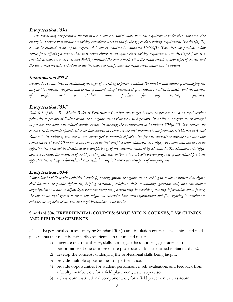#### Interpretation 303-1

*A law school may not permit a student to use a course to satisfy more than one requirement under this Standard. For example, a course that includes a writing experience used to satisfy the upper-class writing requirement [see 303(a)(2)] cannot be counted as one of the experiential courses required in Standard 303(a)(3). This does not preclude a law school from offering a course that may count either as an upper class writing requirement [see 303(a)(2)] or as a simulation course [see 304(a) and 304(b)] provided the course meets all of the requirements of both types of courses and the law school permits a student to use the course to satisfy only one requirement under this Standard.* 

#### Interpretation 303-2

*Factors to be considered in evaluating the rigor of a writing experience include the number and nature of writing projects assigned to students, the form and extent of individualized assessment of a student's written products, and the number of drafts that a student must produce for any writing experience.* 

#### Interpretation 303-3

*Rule 6.1 of the ABA Model Rules of Professional Conduct encourages lawyers to provide pro bono legal services primarily to persons of limited means or to organizations that serve such persons. In addition, lawyers are encouraged to provide pro bono law-related public service. In meeting the requirement of Standard 303(b)(2), law schools are encouraged to promote opportunities for law student pro bono service that incorporate the priorities established in Model Rule 6.1. In addition, law schools are encouraged to promote opportunities for law students to provide over their law school career at least 50 hours of pro bono service that complies with Standard 303(b)(2). Pro bono and public service opportunities need not be structured to accomplish any of the outcomes required by Standard 302. Standard 303(b)(2) does not preclude the inclusion of credit-granting activities within a law school's overall program of law-related pro bono opportunities so long as law-related non-credit bearing initiatives are also part of that program.* 

#### Interpretation 303-4

*Law-related public service activities include (i) helping groups or organizations seeking to secure or protect civil rights, civil liberties, or public rights; (ii) helping charitable, religious, civic, community, governmental, and educational organizations not able to afford legal representation; (iii) participating in activities providing information about justice, the law or the legal system to those who might not otherwise have such information; and (iv) engaging in activities to enhance the capacity of the law and legal institutions to do justice.*

#### **Standard 304. EXPERIENTIAL COURSES: SIMULATION COURSES, LAW CLINICS, AND FIELD PLACEMENTS**

(a) Experiential courses satisfying Standard 303(a) are simulation courses, law clinics, and field placements that must be primarily experiential in nature and must:

- 1) integrate doctrine, theory, skills, and legal ethics, and engage students in performance of one or more of the professional skills identified in Standard 302;
- 2) develop the concepts underlying the professional skills being taught;
- 3) provide multiple opportunities for performance;
- 4) provide opportunities for student performance, self-evaluation, and feedback from a faculty member, or, for a field placement, a site supervisor;
- 5) a classroom instructional component; or, for a field placement, a classroom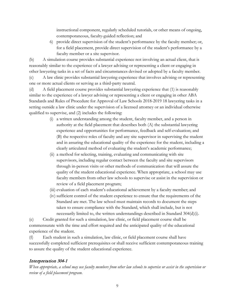instructional component, regularly scheduled tutorials, or other means of ongoing, contemporaneous, faculty-guided reflection; and

6) provide direct supervision of the student's performance by the faculty member; or, for a field placement, provide direct supervision of the student's performance by a faculty member or a site supervisor.

(b) A simulation course provides substantial experience not involving an actual client, that is reasonably similar to the experience of a lawyer advising or representing a client or engaging in other lawyering tasks in a set of facts and circumstances devised or adopted by a faculty member.

(c) A law clinic provides substantial lawyering experience that involves advising or representing one or more actual clients or serving as a third-party neutral.

(d) A field placement course provides substantial lawyering experience that (1) is reasonably similar to the experience of a lawyer advising or representing a client or engaging in other ABA Standards and Rules of Procedure for Approval of Law Schools 2018-2019 18 lawyering tasks in a setting outside a law clinic under the supervision of a licensed attorney or an individual otherwise qualified to supervise, and (2) includes the following:

- (i) a written understanding among the student, faculty member, and a person in authority at the field placement that describes both (A) the substantial lawyering experience and opportunities for performance, feedback and self-evaluation; and (B) the respective roles of faculty and any site supervisor in supervising the student and in assuring the educational quality of the experience for the student, including a clearly articulated method of evaluating the student's academic performance;
- (ii) a method for selecting, training, evaluating and communicating with site supervisors, including regular contact between the faculty and site supervisors through in-person visits or other methods of communication that will assure the quality of the student educational experience. When appropriate, a school may use faculty members from other law schools to supervise or assist in the supervision or review of a field placement program;
- (iii) evaluation of each student's educational achievement by a faculty member; and
- (iv) sufficient control of the student experience to ensure that the requirements of the Standard are met. The law school must maintain records to document the steps taken to ensure compliance with the Standard, which shall include, but is not necessarily limited to, the written understandings described in Standard 304(d)(i).

(e) Credit granted for such a simulation, law clinic, or field placement course shall be commensurate with the time and effort required and the anticipated quality of the educational experience of the student.

(f) Each student in such a simulation, law clinic, or field placement course shall have successfully completed sufficient prerequisites or shall receive sufficient contemporaneous training to assure the quality of the student educational experience.

# Interpretation 304-1

*When appropriate, a school may use faculty members from other law schools to supervise or assist in the supervision or review of a field placement program.*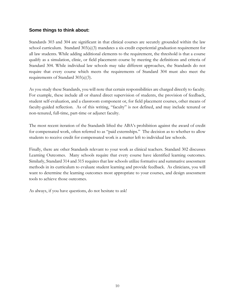### **Some things to think about:**

Standards 303 and 304 are significant in that clinical courses are securely grounded within the law school curriculum. Standard  $303(a)(3)$  mandates a six-credit experiential graduation requirement for all law students. While adding additional elements to the requirement, the threshold is that a course qualify as a simulation, clinic, or field placement1 course by meeting the definitions and criteria of Standard 304. While individual law schools may take different approaches, the Standards do not require that every course which meets the requirements of Standard 304 must also meet the requirements of Standard 303(a)(3).

As you study these Standards, you will note that certain responsibilities are charged directly to faculty. For example, these include all or shared direct supervision of students, the provision of feedback, student self-evaluation, and a classroom component or, for field placement courses, other means of faculty-guided reflection. As of this writing, "faculty" is not defined, and may include tenured or non-tenured, full-time, part-time or adjunct faculty.

The most recent iteration of the Standards lifted the ABA's prohibition against the award of credit for compensated work, often referred to as "paid externships." The decision as to whether to allow students to receive credit for compensated work is a matter left to individual law schools.

Finally, there are other Standards relevant to your work as clinical teachers. Standard 302 discusses Learning Outcomes. Many schools require that every course have identified learning outcomes. Similarly, Standard 314 and 315 requires that law schools utilize formative and summative assessment methods in its curriculum to evaluate student learning and provide feedback. As clinicians, you will want to determine the learning outcomes most appropriate to your courses, and design assessment tools to achieve those outcomes.

As always, if you have questions, do not hesitate to ask!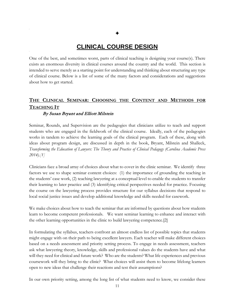# **CLINICAL COURSE DESIGN**

<span id="page-11-0"></span>One of the best, and sometimes worst, parts of clinical teaching is designing your course(s). There exists an enormous diversity in clinical courses around the country and the world. This section is intended to serve merely as a starting point for understanding and thinking about structuring any type of clinical course. Below is a list of some of the many factors and considerations and suggestions about how to get started.

# <span id="page-11-1"></span>**THE CLINICAL SEMINAR: CHOOSING THE CONTENT AND METHODS FOR TEACHING IT**

#### By Susan Bryant and Elliott Milstein

Seminar, Rounds, and Supervision are the pedagogies that clinicians utilize to teach and support students who are engaged in the fieldwork of the clinical course. Ideally, each of the pedagogies works in tandem to achieve the learning goals of the clinical program. Each of these, along with ideas about program design, are discussed in depth in the book, Bryant, Milstein and Shalleck, *Transforming the Education of Lawyers: The Theory and Practice of Clinical Pedagogy (Carolina Academic Press 2014).[1]* 

Clinicians face a broad array of choices about what to cover in the clinic seminar. We identify three factors we use to shape seminar content choices: (1) the importance of grounding the teaching in the students' case work, (2) teaching lawyering at a conceptual level to enable the students to transfer their learning to later practice and (3) identifying critical perspectives needed for practice. Focusing the course on the lawyering process provides structure for our syllabus decisions that respond to local social justice issues and develop additional knowledge and skills needed for casework.

We make choices about how to teach the seminar that are informed by questions about how students learn to become competent professionals. We want seminar learning to enhance and interact with the other learning opportunities in the clinic to build lawyering competence.[2]

In formulating the syllabus, teachers confront an almost endless list of possible topics that students might engage with on their path to being excellent lawyers. Each teacher will make different choices based on a needs assessment and priority setting process. To engage in needs assessment, teachers ask what lawyering theory, knowledge, skills and professional values do the students have and what will they need for clinical and future work? Who are the students? What life experiences and previous coursework will they bring to the clinic? What choices will assist them to become lifelong learners open to new ideas that challenge their reactions and test their assumptions?

In our own priority setting, among the long list of what students need to know, we consider these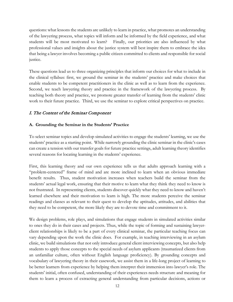questions: what lessons the students are unlikely to learn in practice, what promotes an understanding of the lawyering process, what topics will inform and be informed by the field experience, and what students will be most motivated to learn? Finally, our priorities are also influenced by what professional values and insights about the justice system will best inspire them to embrace the idea that being a lawyer involves becoming a public citizen committed to clients and responsible for social justice.

These questions lead us to three organizing principles that inform our choices for what to include in the clinical syllabus: first, we ground the seminar in the students' practice and make choices that enable students to be competent practitioners in the clinic as well as to learn from the experience. Second, we teach lawyering theory and practice in the framework of the lawyering process. By teaching both theory and practice, we promote greater transfer of learning from the students' clinic work to their future practice. Third, we use the seminar to explore critical perspectives on practice.

### <span id="page-12-0"></span>I. The Content of the Seminar Component

#### **A. Grounding the Seminar in the Students' Practice**

To select seminar topics and develop simulated activities to engage the students' learning, we use the students' practice as a starting point. While narrowly grounding the clinic seminar in the clinic's cases can create a tension with our transfer goals for future practice settings, adult learning theory identifies several reasons for locating learning in the students' experience.

First, this learning theory and our own experience tells us that adults approach learning with a "problem-centered" frame of mind and are more inclined to learn when an obvious immediate benefit results. Thus, student motivation increases when teachers build the seminar from the students' actual legal work, ensuring that their motive to learn what they think they need to know is not frustrated. In representing clients, students discover quickly what they need to know and haven't learned elsewhere and their motivation to learn is high. The more students perceive the seminar readings and classes as relevant to their quest to develop the aptitudes, attitudes, and abilities that they need to be competent, the more likely they are to devote time and commitment to it.

We design problems, role plays, and simulations that engage students in simulated activities similar to ones they do in their cases and projects. Thus, while the topic of forming and sustaining lawyerclient relationships is likely to be a part of every clinical seminar, the particular teaching focus can vary depending upon the work the clinic does. For example, in teaching interviewing in an asylum clinic, we build simulations that not only introduce general client interviewing concepts, but also help students to apply those concepts to the special needs of asylum applicants (traumatized clients from an unfamiliar culture, often without English language proficiency). By grounding concepts and vocabulary of lawyering theory in their casework, we assist them in a life-long project of learning to be better learners from experience by helping them interpret their immersion into lawyer's role. The students' initial, often confused, understanding of their experiences needs structure and meaning for them to learn a process of extracting general understanding from particular decisions, actions or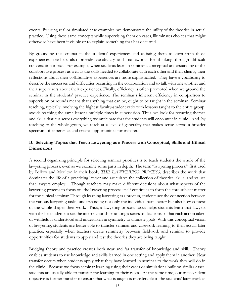events. By using real or simulated case examples, we demonstrate the utility of the theories in actual practice. Using these same concepts while supervising them on cases, illuminates choices that might otherwise have been invisible or to explain something that has occurred.

By grounding the seminar in the students' experiences and assisting them to learn from those experiences, teachers also provide vocabulary and frameworks for thinking through difficult conversation topics. For example, when students learn in seminar a conceptual understanding of the collaborative process as well as the skills needed to collaborate with each other and their clients, their reflections about their collaborative experiences are more sophisticated. They have a vocabulary to describe the successes and difficulties occurring in the collaboration and to talk with one another and their supervisors about their experiences. Finally, efficiency is often promoted when we ground the seminar in the students' practice experience. The seminar's inherent efficiency in comparison to supervision or rounds means that anything that can be, ought to be taught in the seminar. Seminar teaching, typically involving the highest faculty-student ratio with lessons taught to the entire group, avoids teaching the same lessons multiple times in supervision. Thus, we look for recurring themes and skills that cut across everything we anticipate that the students will encounter in clinic. And, by teaching to the whole group, we teach at a level of generality that makes sense across a broader spectrum of experience and creates opportunities for transfer.

### **B. Selecting Topics that Teach Lawyering as a Process with Conceptual, Skills and Ethical Dimensions**

A second organizing principle for selecting seminar priorities is to teach students the whole of the lawyering process, even as we examine some parts in depth. The term "lawyering process," first used by Bellow and Moulton in their book, *THE LAWYERING PROCESS*, describes the work that dominates the life of a practicing lawyer and articulates the collection of theories, skills, and values that lawyers employ. Though teachers may make different decisions about what aspects of the lawyering process to focus on, the lawyering process itself continues to form the core subject matter for the clinical seminar. Through learning lawyering as a process, students see the connection between the various lawyering tasks, understanding not only the individual parts better but also how context of the whole shapes their work. Thus, a lawyering process focus helps students learn that lawyers with the best judgment see the interrelationships among a series of decisions so that each action taken or withheld is understood and undertaken in symmetry to ultimate goals. With this conceptual vision of lawyering, students are better able to transfer seminar and casework learning to their actual later practice, especially when teachers create symmetry between fieldwork and seminar to provide opportunities for students to apply and test the theories they are being taught.

Bridging theory and practice creates both near and far transfer of knowledge and skill. Theory enables students to use knowledge and skills learned in one setting and apply them in another. Near transfer occurs when students apply what they have learned in seminar to the work they will do in the clinic. Because we focus seminar learning using their cases or simulations built on similar cases, students are usually able to transfer the learning to their cases. At the same time, our transcendent objective is further transfer to ensure that what is taught is transferable to the students' later work as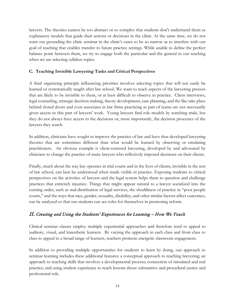lawyers. The theories cannot be too abstract or so complex that students don't understand them as explanatory models that guide their actions or decisions in the clinic. At the same time, we do not want our grounding the clinic seminar in the clinic's cases to be so narrow as to interfere with our goal of teaching that enables transfer to future practice settings. While unable to define the perfect balance point between them, we try to engage both the particular and the general in our teaching when we are selecting syllabus topics.

### **C. Teaching Invisible Lawyering Tasks and Critical Perspectives**

A final organizing principle influencing priorities involves selecting topics that will not easily be learned or systematically taught after law school. We want to teach aspects of the lawyering process that are likely to be invisible to them, or at least difficult to observe in practice. Client interviews, legal counseling, strategic decision making, theory development, case planning, and the like take place behind closed doors and even associates in law firms practicing as part of teams are not necessarily given access to this part of lawyers' work. Young lawyers find role models by watching trials, but they do not always have access to the decisions or, more importantly, the decision processes of the lawyers they watch.

In addition, clinicians have sought to improve the practice of law and have thus developed lawyering theories that are sometimes different than what would be learned by observing or emulating practitioners. An obvious example is client-centered lawyering, developed by and advocated by clinicians to change the practice of many lawyers who reflexively imposed decisions on their clients.

Finally, much about the way law operates in trial courts and in the lives of clients, invisible in the rest of law school, can best be understood when made visible in practice. Exposing students to critical perspectives on the activities of lawyers and the legal system helps them to question and challenge practices that entrench injustice. Things that might appear natural to a lawyer socialized into the existing order, such as mal-distribution of legal services, the shoddiness of practice in "poor people courts," and the ways that race, gender, sexuality, disability, and other similar factors affect outcomes, can be analyzed so that our students can see roles for themselves in promoting reform.

# <span id="page-14-0"></span>II. Creating and Using the Students' Experiences for Learning – How We Teach

Clinical seminar classes employ multiple experiential approaches and therefore tend to appeal to auditory, visual, and kinesthetic learners. By varying the approach in each class and from class to class to appeal to a broad range of learners, teachers promote energetic classroom engagement.

In addition to providing multiple opportunities for students to learn by doing, our approach to seminar learning includes these additional features: a conceptual approach to teaching lawyering; an approach to teaching skills that involves a developmental process; connection of simulated and real practice; and using student experience to teach lessons about substantive and procedural justice and professional role.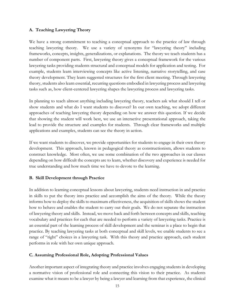#### **A. Teaching Lawyering Theory**

We have a strong commitment to teaching a conceptual approach to the practice of law through teaching lawyering theory. We use a variety of synonyms for "lawyering theory" including frameworks, concepts, insights, generalizations, or explanations. The theory we teach students has a number of component parts. First, lawyering theory gives a conceptual framework for the various lawyering tasks providing students structural and conceptual models for application and testing. For example, students learn interviewing concepts like active listening, narrative storytelling, and case theory development. They learn suggested structures for the first client meeting. Through lawyering theory, students also learn essential, recurring questions embodied in lawyering process and lawyering tasks such as, how client-centered lawyering shapes the lawyering process and lawyering tasks.

In planning to teach almost anything including lawyering theory, teachers ask what should I tell or show students and what do I want students to discover? In our own teaching, we adopt different approaches of teaching lawyering theory depending on how we answer this question. If we decide that showing the student will work best, we use an interactive presentational approach, taking the lead to provide the structure and examples for students. Through clear frameworks and multiple applications and examples, students can see the theory in action.

If we want students to discover, we provide opportunities for students to engage in their own theory development. This approach, known in pedagogical theory as constructionism, allows students to construct knowledge. Most often, we use some combination of the two approaches in our classes depending on how difficult the concepts are to learn, whether discovery and experience is needed for true understanding and how much time we have to devote to the learning.

#### **B. Skill Development through Practice**

In addition to learning conceptual lessons about lawyering, students need instruction in and practice in skills to put the theory into practice and accomplish the aims of the theory. While the theory informs how to deploy the skills to maximum effectiveness, the acquisition of skills shows the student how to behave and enables the student to carry out their goals. We do not separate the instruction of lawyering theory and skills. Instead, we move back and forth between concepts and skills, teaching vocabulary and practices for each that are needed to perform a variety of lawyering tasks. Practice is an essential part of the learning process of skill development and the seminar is a place to begin that practice. By teaching lawyering tasks at both conceptual and skill levels, we enable students to see a range of "right" choices in a lawyering task. With this theory and practice approach, each student performs in role with her own unique approach.

#### **C. Assuming Professional Role, Adopting Professional Values**

Another important aspect of integrating theory and practice involves engaging students in developing a normative vision of professional role and connecting this vision to their practice. As students examine what it means to be a lawyer by being a lawyer and learning from that experience, the clinical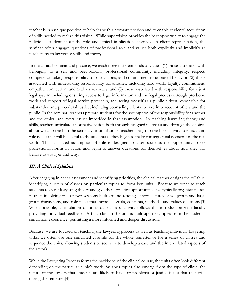teacher is in a unique position to help shape this normative vision and to enable students' acquisition of skills needed to realize this vision. While supervision provides the best opportunity to engage the individual student about the role and ethical implications involved in client representation, the seminar often engages questions of professional role and values both explicitly and implicitly as teachers teach lawyering skills and theory.

In the clinical seminar and practice, we teach three different kinds of values: (1) those associated with belonging to a self and peer-policing professional community, including integrity, respect, competence, taking responsibility for our actions, and commitment to unbiased behavior; (2) those associated with undertaking responsibility for another, including hard work, loyalty, commitment, empathy, connection, and zealous advocacy; and (3) those associated with responsibility for a just legal system including ensuring access to legal information and the legal process through pro bono work and support of legal service providers, and seeing oneself as a public citizen responsible for substantive and procedural justice, including counseling clients to take into account others and the public. In the seminar, teachers prepare students for the assumption of the responsibility for another and the ethical and moral issues imbedded in that assumption. In teaching lawyering theory and skills, teachers articulate a normative vision both through assigned materials and through the choices about what to teach in the seminar. In simulations, teachers begin to teach sensitivity to ethical and role issues that will be useful to the students as they begin to make consequential decisions in the real world. This facilitated assumption of role is designed to allow students the opportunity to see professional norms in action and begin to answer questions for themselves about how they will behave as a lawyer and why.

# <span id="page-16-0"></span>III. A Clinical Syllabus

After engaging in needs assessment and identifying priorities, the clinical teacher designs the syllabus, identifying clusters of classes on particular topics to form key units. Because we want to teach students relevant lawyering theory and give them practice opportunities, we typically organize classes in units involving one or two sessions built around readings, short lectures, small group and large group discussions, and role plays that introduce goals, concepts, methods, and values questions.[3] When possible, a simulation or other out-of-class activity follows this introduction with faculty providing individual feedback. A final class in the unit is built upon examples from the students' simulation experience, permitting a more informed and deeper discussion.

Because, we are focused on teaching the lawyering process as well as teaching individual lawyering tasks, we often use one simulated case-file for the whole semester or for a series of classes and sequence the units, allowing students to see how to develop a case and the inter-related aspects of their work.

While the Lawyering Process forms the backbone of the clinical course, the units often look different depending on the particular clinic's work. Syllabus topics also emerge from the type of clinic, the nature of the careers that students are likely to have, or problems or justice issues that that arise during the semester.[4]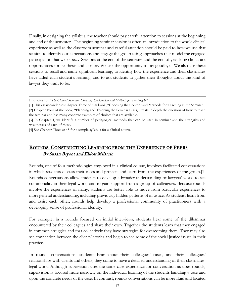Finally, in designing the syllabus, the teacher should pay careful attention to sessions at the beginning and end of the semester. The beginning seminar session is often an introduction to the whole clinical experience as well as the classroom seminar and careful attention should be paid to how we use that session to identify our expectations and engage the group using approaches that model the engaged participation that we expect. Sessions at the end of the semester and the end of year-long clinics are opportunities for synthesis and closure. We use the opportunity to say goodbye. We also use these sessions to recall and name significant learning, to identify how the experience and their classmates have aided each student's learning, and to ask students to gather their thoughts about the kind of lawyer they want to be.

[4] See Chapter Three at 48 for a sample syllabus for a clinical course.

# <span id="page-17-0"></span>**ROUNDS: CONSTRUCTING LEARNING FROM THE EXPERIENCE OF PEERS** By Susan Bryant and Elliott Milstein

Rounds, one of four methodologies employed in a clinical course, involves facilitated conversations in which students discuss their cases and projects and learn from the experiences of the group.[1] Rounds conversations allow students to develop a broader understanding of lawyers' work, to see commonality in their legal work, and to gain support from a group of colleagues. Because rounds involve the experiences of many, students are better able to move from particular experiences to more general understanding, including previously hidden patterns of injustice. As students learn from and assist each other, rounds help develop a professional community of practitioners with a developing sense of professional identity.

For example, in a rounds focused on initial interviews, students hear some of the dilemmas encountered by their colleagues and share their own. Together the students learn that they engaged in common struggles and that collectively they have strategies for overcoming them. They may also see connection between the clients' stories and begin to see some of the social justice issues in their practice.

In rounds conversations, students hear about their colleagues' cases, and their colleagues' relationships with clients and others; they come to have a detailed understanding of their classmates' legal work. Although supervision uses the same case experience for conversation as does rounds, supervision is focused more narrowly on the individual learning of the students handling a case and upon the concrete needs of the case. In contrast, rounds conversations can be more fluid and located

Endnotes for "*The Clinical Seminar: Choosing The Content and Methods for Teaching It":*

<sup>[1]</sup> This essay condenses Chapter Three of that book, "Choosing the Content and Methods for Teaching in the Seminar." [2] Chapter Four of the book, "Planning and Teaching the Seminar Class," treats in depth the question of how to teach the seminar and has many concrete examples of choices that are available.

<sup>[3]</sup> In Chapter 4, we identify a number of pedagogical methods that can be used in seminar and the strengths and weaknesses of each of these.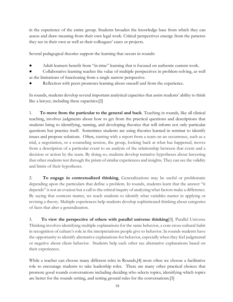in the experience of the entire group. Students broaden the knowledge base from which they can assess and draw meaning from their own legal work. Critical perspectives emerge from the patterns they see in their own as well as their colleagues' cases or projects.

Several pedagogical theories support the learning that occurs in rounds:

Adult learners benefit from "in-time" learning that is focused on authentic current work.

Collaborative learning teaches the value of multiple perspectives in problem-solving, as well as the limitations of functioning from a single narrow perspective.

Reflection with peers promotes learning about oneself and from the experience.

In rounds, students develop several important analytical capacities that assist students' ability to think like a lawyer, including these capacities:[2]

1. **To move from the particular to the general and back**. Teaching in rounds, like all clinical teaching, involves judgments about how to get from the practical questions and descriptions that students bring to identifying, naming, and developing theories that will inform not only particular questions but practice itself. Sometimes students are using theories learned in seminar to identify issues and propose solutions. Often, starting with a report from a team on an occurrence, such as a trial, a negotiation, or a counseling session, the group, looking back at what has happened, moves from a description of a particular event to an analysis of the relationship between that event and a decision or action by the team. By doing so, students develop tentative hypotheses about lawyering that other students test through the prism of similar experiences and insights. They can see the validity and limits of their hypotheses.

2. **To engage in contextualized thinking**, Generalizations may be useful or problematic depending upon the particulars that define a problem. In rounds, students learn that the answer "it depends" is not an evasion but a call to the critical inquiry of analyzing what factors make a difference. By saying that contexts matter, we teach students to identify what variables matter in applying or revising a theory. Multiple experiences help students develop sophisticated thinking about categories of facts that alter a generalization.

3. **To view the perspective of others with parallel universe thinking**[3]. Parallel Universe Thinking involves identifying multiple explanations for the same behavior, a core cross-cultural habit in recognition of culture's role in the interpretations people give to behavior. In rounds students have the opportunity to identify alternative explanations for behavior, especially when they feel judgmental or negative about client behavior. Students help each other see alternative explanations based on their experiences.

While a teacher can choose many different roles in Rounds,[4] most often we choose a facilitative role to encourage students to take leadership roles. There are many other practical choices that promote good rounds conversations including deciding who selects topics, identifying which topics are better for the rounds setting, and setting ground rules for the conversations.[5]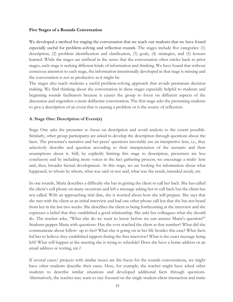#### **Five Stages of a Rounds Conversation**

We developed a method for staging the conversation that we teach our students that we have found especially useful for problem-solving and reflection rounds. The stages include five categories: (1) description, (2) problem identification and clarification, (3) goals, (4) strategies, and (5) lessons learned. While the stages are artificial in the sense that the conversation often circles back to prior stages, each stage is seeking different kinds of information and thinking. We have found that without conscious attention to each stage, the information intentionally developed in that stage is missing and the conversation is not as productive as it might be.

The stages also teach students a useful problem-solving approach that avoids premature decision making. We find thinking about the conversation in these stages especially helpful to students and beginning rounds facilitators because it causes the group to focus on different aspects of the discussion and engenders a more deliberate conversation. The first stage asks the presenting students to give a description of an event that is causing a problem or is the source of reflection.

#### **A. Stage One: Description of Event(s)**

Stage One asks the presenter to focus on description and avoid analysis to the extent possible. Similarly, other group participants are asked to develop the description through questions about the facts. The presenter's narrative and her peers' questions inevitably use an interpretive lens, i.e., they selectively describe and question according to their interpretation of the scenario and their assumptions about it. Still, by explicitly limiting this stage to description, presenters are less conclusory and by including more voices in the fact gathering process, we encourage a multi- lens and, thus, broader factual development. At this stage, we are looking for information about what happened, to whom by whom, what was said or not said, what was the result, intended result, etc.

In one rounds, Maria describes a difficulty she has in getting the client to call her back. She has called the client's cell phone on many occasions and left a message asking her to call back but the client has not called. With an approaching trial date, she is worried about how she will prepare. She says that she met with the client at an initial interview and had one other phone call but that she has not heard from her in the last two weeks. She describes the client as being forthcoming at the interview and she expresses a belief that they established a good relationship. She asks her colleagues what she should do. The teacher asks, "What else do we want to know before we can answer Maria's question?" Students pepper Maria with questions: Has she ever reached the client at that number? What did she communicate about follow- up to her? What else is going on in her life besides this case? What facts led her to believe they established rapport during the first interview? What is the exact message being left? What will happen at the meeting she is trying to schedule? Does she have a home address or an email address or texting, etc.?

If several cases/ projects with similar issues are the focus for the rounds conversations, we might have other students describe their cases. Here, for example, the teacher might have asked other students to describe similar situations and developed additional facts through questions. Alternatively, the teacher may want to stay focused on the single student-client interaction and make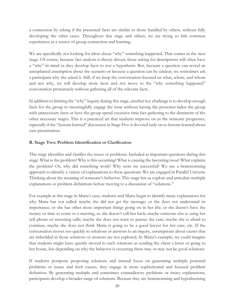a connection by asking if the presented facts are similar to those handled by others, without fully developing the other cases. Throughout this stage and others, we are trying to link common experiences as a source of group connection and learning.

We are specifically not looking for ideas about "why" something happened. That comes in the next stage. Of course, because fact analysis is theory driven, those asking for descriptions will often have a "why" in mind as they develop facts to test a hypothesis. But, because a question can reveal an unexplained assumption about the scenario or because a question can be unclear, we sometimes ask a participant why she asked it. Still, if we keep the conversation focused on what, where, and whom and not why, we will develop more facts and not move to the "why something happened" conversation prematurely without gathering all of the relevant facts.

In addition to limiting the "why" inquiry during this stage, another key challenge is to develop enough facts for the group to meaningfully engage the issue without having the presenter laden the group with unnecessary facts or have the group spend excessive time fact gathering to the detriment of the other necessary stages. This is a practiced art that students improve on as the semester progresses, especially if the "lessons learned" discussion in Stage Five is devoted early on to lessons learned about case presentation.

#### **B. Stage Two: Problem Identification or Clarification**

This stage identifies and clarifies the issues or problems. Included as important questions during this stage: What is the problem? Why is this occurring? What is causing the lawyering issue? What explains the problem? Or, why did something work? Why were we successful? We use a brainstorming approach to identify a variety of explanations to these questions. We are engaged in Parallel Universe Thinking about the meaning of someone's behavior. This stage lets us explore and articulate multiple explanations or problem definitions before moving to a discussion of "solutions."

For example at this stage in Maria's case, students and Maria begin to identify many explanations for why Maria has not called: maybe she did not get the message; or she does not understand its importance; or she has other more important things going on in her life; or she doesn't have the money or time to come to a meeting, so she doesn't call her back; maybe someone else is using her cell phone or screening calls; maybe she does not want to pursue the case; maybe she is afraid to continue; maybe she does not think Maria is going to be a good lawyer for her case, etc. If the conversation moves too quickly to solutions or answers to an inquiry, assumptions about causes that are imbedded in those solutions or answers are not explored. In Maria's example, we could imagine that students might have quickly moved to such solutions as sending the client a letter or going to her house, but depending on why the behavior is occurring these may or may not be good solutions.

If students postpone proposing solutions and instead focus on generating multiple potential problems or issues and their causes, they engage in more sophisticated and focused problem definition. By generating multiple and sometimes contradictory problems or issues explanations, participants develop a broader range of solutions. Because they are brainstorming and hypothesizing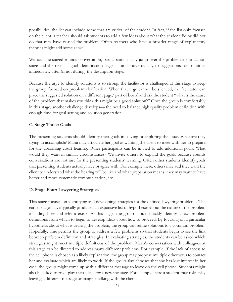possibilities, the list can include some that are critical of the student. In fact, if the list only focuses on the client, a teacher should ask students to add a few ideas about what the student did or did not do that may have caused the problem. Often teachers who have a broader range of explanatory theories might add some as well.

Without the staged rounds conversation, participants usually jump over the problem identification stage and the next — goal identification stage — and move quickly to suggestions for solutions immediately after (if not during) the description stage.

Because the urge to identify solutions is so strong, the facilitator is challenged at this stage to keep the group focused on problem clarification. When that urge cannot be silenced, the facilitator can place the suggested solution on a different page/ part of board and ask the student "what is the cause of the problem that makes you think this might be a good solution?" Once the group is comfortably in this stage, another challenge develops— the need to balance high quality problem definition with enough time for goal setting and solution generation.

### **C. Stage Three: Goals**

The presenting students should identify their goals in solving or exploring the issue. What are they trying to accomplish? Maria may articulate her goal as wanting the client to meet with her to prepare for the upcoming court hearing. Other participants can be invited to add additional goals. What would they want in similar circumstances? We invite others to expand the goals because rounds conversations are not just for the presenting students' learning. Often other students identify goals that presenting students actually have or agree with. For example, here, others may add they want the client to understand what the hearing will be like and what preparation means; they may want to have better and more systematic communication, etc.

#### **D. Stage Four: Lawyering Strategies**

This stage focuses on identifying and developing strategies for the defined lawyering problems. The earlier stages have typically produced an expansive list of hypotheses about the nature of the problem including how and why it exists. At this stage, the group should quickly identify a few problem definitions from which to begin to develop ideas about how to proceed. By focusing on a particular hypothesis about what is causing the problem, the group can refine solutions to a common problem. Hopefully, time permits the group to address a few problems so that students begin to see the link between problem definition and strategies. In evaluating strategies, the students can be asked which strategies might meet multiple definitions of the problem. Maria's conversation with colleagues at this stage can be directed to address many different problems. For example, if the lack of access to the cell phone is chosen as a likely explanation, the group may propose multiple other ways to contact her and evaluate which are likely to work. If the group also chooses that she has lost interest in her case, the group might come up with a different message to leave on the cell phone. Students might also be asked to role- play their ideas for a new message. For example, here a student may role- play leaving a different message or imagine talking with the client.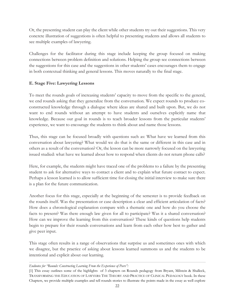Or, the presenting student can play the client while other students try out their suggestions. This very concrete illustration of suggestions is often helpful to presenting students and allows all students to see multiple examples of lawyering.

Challenges for the facilitator during this stage include keeping the group focused on making connections between problem definition and solutions. Helping the group see connections between the suggestions for this case and the suggestions in other students' cases encourages them to engage in both contextual thinking and general lessons. This moves naturally to the final stage.

#### **E. Stage Five: Lawyering Lessons**

To meet the rounds goals of increasing students' capacity to move from the specific to the general, we end rounds asking that they generalize from the conversation. We expect rounds to produce coconstructed knowledge through a dialogue where ideas are shared and built upon. But, we do not want to end rounds without an attempt to have students and ourselves explicitly name that knowledge. Because our goal in rounds is to teach broader lessons from the particular students' experience, we want to encourage the students to think about and name those lessons.

Thus, this stage can be focused broadly with questions such as: What have we learned from this conversation about lawyering? What would we do that is the same or different in this case and in others as a result of the conversation? Or, the lesson can be more narrowly focused on the lawyering issued studied: what have we learned about how to respond when clients do not return phone calls?

Here, for example, the students might have traced one of the problems to a failure by the presenting student to ask for alternative ways to contact a client and to explain what future contact to expect. Perhaps a lesson learned is to allow sufficient time for closing the initial interview to make sure there is a plan for the future communication.

Another focus for this stage, especially at the beginning of the semester is to provide feedback on the rounds itself. Was the presentation or case description a clear and efficient articulation of facts? How does a chronological explanation compare with a thematic one and how do you choose the facts to present? Was there enough law given for all to participate? Was it a shared conversation? How can we improve the learning from this conversation? These kinds of questions help students begin to prepare for their rounds conversations and learn from each other how best to gather and give peer input.

This stage often results in a range of observations that surprise us and sometimes ones with which we disagree, but the practice of asking about lessons learned summons us and the students to be intentional and explicit about our learning.

*Endnotes for "Rounds: Constructing Learning From the Experience of Peers":*

<sup>[1]</sup> This essay outlines some of the highlights of 3 chapters on Rounds pedagogy from Bryant, Milstein & Shalleck, TRANSFORMING THE EDUCATION OF LAWYERS: THE THEORY AND PRACTICE OF CLINICAL PEDAGOGY book. In these Chapters, we provide multiple examples and tell rounds stories to illustrate the points made in the essay as well explore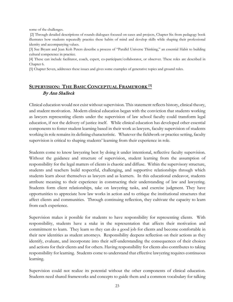some of the challenges.

[2] Through detailed descriptions of rounds dialogues focused on cases and projects, Chapter Six from pedagogy book illustrates how students repeatedly practice these habits of mind and develop skills while shaping their professional identity and accompanying values.

[3] Sue Bryant and Jean Koh Peters describe a process of "Parallel Universe Thinking," an essential Habit to building cultural competence in practice.

[4] These can include facilitator, coach, expert, co-participant/collaborator, or observer. These roles are described in Chapter 6.

[5] Chapter Seven, addresses these issues and gives some examples of generative topics and ground rules.

# <span id="page-23-0"></span>SUPERVISION: THE BASIC CONCEPTUAL FRAMEWORK<sup>[1]</sup> By Ann Shalleck

Clinical education would not exist without supervision. This statement reflects history, clinical theory, and student motivation. Modern clinical education began with the conviction that students working as lawyers representing clients under the supervision of law school faculty could transform legal education, if not the delivery of justice itself. While clinical education has developed other essential components to foster student learning based in their work as lawyers, faculty supervision of students working in role remains its defining characteristic. Whatever the fieldwork or practice setting, faculty supervision is critical to shaping students' learning from their experience in role.

Students come to know lawyering best by doing it under intentional, reflective faculty supervision. Without the guidance and structure of supervision, student learning from the assumption of responsibility for the legal matters of clients is chaotic and diffuse. Within the supervisory structure, students and teachers build respectful, challenging, and supportive relationships through which students learn about themselves as lawyers and as learners. In this educational endeavor, students attribute meaning to their experience in constructing their understanding of law and lawyering. Students form client relationships, take on lawyering tasks, and exercise judgment. They have opportunities to appreciate how law works in action and to critique the institutional structures that affect clients and communities. Through continuing reflection, they cultivate the capacity to learn from each experience.

Supervision makes it possible for students to have responsibility for representing clients. With responsibility, students have a stake in the representation that affects their motivation and commitment to learn. They learn so they can do a good job for clients and become comfortable in their new identities as student attorneys. Responsibility deepens reflection on their actions as they identify, evaluate, and incorporate into their self-understanding the consequences of their choices and actions for their clients and for others. Having responsibility for clients also contributes to taking responsibility for learning. Students come to understand that effective lawyering requires continuous learning.

Supervision could not realize its potential without the other components of clinical education. Students need shared frameworks and concepts to guide them and a common vocabulary for talking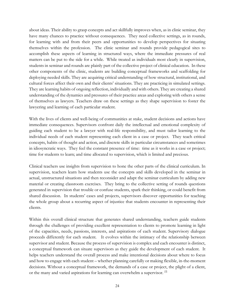about ideas. Their ability to grasp concepts and act skillfully improves when, as in clinic seminar, they have many chances to practice without consequences. They need collective settings, as in rounds, for learning with and from their peers and opportunities to develop perspectives for situating themselves within the profession. The clinic seminar and rounds provide pedagogical sites to accomplish these aspects of learning in structured ways, where the immediate pressures of real matters can be put to the side for a while. While treated as individuals most clearly in supervision, students in seminar and rounds are plainly part of the collective project of clinical education. In these other components of the clinic, students are building conceptual frameworks and scaffolding for deploying needed skills. They are acquiring critical understanding of how structural, institutional, and cultural forces affect their own and their clients' situations. They are practicing in simulated settings. They are learning habits of ongoing reflection, individually and with others. They are creating a shared understanding of the dynamics and pressures of their practice areas and exploring with others a sense of themselves as lawyers. Teachers draw on these settings as they shape supervision to foster the lawyering and learning of each particular student.

With the lives of clients and well-being of communities at stake, student decisions and actions have immediate consequences. Supervisors confront daily the intellectual and emotional complexity of guiding each student to be a lawyer with real-life responsibility, and must tailor learning to the individual needs of each student representing each client in a case or project. They teach critical concepts, habits of thought and action, and discrete skills in particular circumstances and sometimes in idiosyncratic ways. They feel the constant presence of time: time as it works in a case or project; time for students to learn; and time allocated to supervision, which is limited and precious.

Clinical teachers use insights from supervision to hone the other parts of the clinical curriculum. In supervision, teachers learn how students use the concepts and skills developed in the seminar in actual, unstructured situations and then reconsider and adapt the seminar curriculum by adding new material or creating classroom exercises. They bring to the collective setting of rounds questions generated in supervision that trouble or confuse students, spark their thinking, or could benefit from shared discussion. In students' cases and projects, supervisors discover opportunities for teaching the whole group about a recurring aspect of injustice that students encounter in representing their clients.

Within this overall clinical structure that generates shared understanding, teachers guide students through the challenges of providing excellent representation to clients to promote learning in light of the capacities, needs, passions, interests, and aspirations of each student. Supervisory dialogue proceeds differently for each student. It evolves within the intimacy of the relationship between supervisor and student. Because the process of supervision is complex and each encounter is distinct, a conceptual framework can situate supervisors as they guide the development of each student. It helps teachers understand the overall process and make intentional decisions about where to focus and how to engage with each student – whether planning carefully or making flexible, in-the-moment decisions. Without a conceptual framework, the demands of a case or project, the plight of a client, or the many and varied aspirations for learning can overwhelm a supervisor. [2]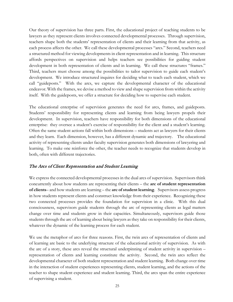Our theory of supervision has three parts. First, the educational project of teaching students to be lawyers as they represent clients involves connected developmental processes. Through supervision, teachers shape both the students' representation of clients and their learning from that activity, as each process affects the other. We call these developmental processes "arcs." Second, teachers need a structured method for viewing developments in client representation and in learning. This structure affords perspectives on supervision and helps teachers see possibilities for guiding student development in both representation of clients and in learning. We call these structures "frames." Third, teachers must choose among the possibilities to tailor supervision to guide each student's development. We introduce structured inquires for deciding what to teach each student, which we call "guideposts." With the arcs, we capture the developmental character of the educational endeavor. With the frames, we devise a method to view and shape supervision from within the activity itself. With the guideposts, we offer a structure for deciding how to supervise each student.

The educational enterprise of supervision generates the need for arcs, frames, and guideposts. Students' responsibility for representing clients and learning from being lawyers propels their development. In supervision, teachers have responsibility for both dimensions of the educational enterprise: they oversee a student's exercise of responsibility for the client and a student's learning. Often the same student actions fall within both dimensions – students act as lawyers for their clients and they learn. Each dimension, however, has a different dynamic and trajectory. The educational activity of representing clients under faculty supervision generates both dimensions of lawyering and learning. To make one reinforce the other, the teacher needs to recognize that students develop in both, often with different trajectories.

#### The Arcs of Client Representation and Student Learning

We express the connected developmental processes in the dual arcs of supervision. Supervisors think concurrently about how students are representing their clients – the **arc of student representation of clients**– and how students are learning – the **arc of student learning**. Supervisors assess progress in how students represent clients and construct knowledge from their experience. Recognizing these two connected processes provides the foundation for supervision in a clinic. With this dual consciousness, supervisors guide students through the arc of representing clients as legal matters change over time and students grow in their capacities. Simultaneously, supervisors guide those students through the arc of learning about being lawyers as they take on responsibility for their clients, whatever the dynamic of the learning process for each student.

We use the metaphor of arcs for three reasons. First, the twin arcs of representation of clients and of learning are basic to the underlying structure of the educational activity of supervision. As with the arc of a story, these arcs reveal the structural underpinning of student activity in supervision – representation of clients and learning constitute the activity. Second, the twin arcs reflect the developmental character of both student representation and student learning. Both change over time in the interaction of student experiences representing clients, student learning, and the actions of the teacher to shape student experience and student learning. Third, the arcs span the entire experience of supervising a student.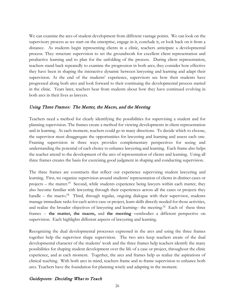We can examine the arcs of student development from different vantage points. We can look on the supervisory process as we start on the enterprise, engage in it, conclude it, or look back on it from a distance. As students begin representing clients in a clinic, teachers anticipate a developmental process. They structure supervision to set the groundwork for excellent client representation and productive learning and to plan for the unfolding of the process. During client representation, teachers stand back repeatedly to examine the progression in both arcs; they consider how effective they have been in shaping the interactive dynamic between lawyering and learning and adapt their supervision. At the end of the students' experience, supervisors see how their students have progressed along both arcs and look forward to their continuing the developmental process started in the clinic. Years later, teachers hear from students about how they have continued evolving in both arcs in their lives as lawyers.

#### Using Three Frames: The Matter, the Macro, and the Meeting

Teachers need a method for clearly identifying the possibilities for supervising a student and for planning supervision. The frames create a method for viewing developments in client representation and in learning. At each moment, teachers could go in many directions. To decide which to choose, the supervisor must disaggregate the opportunities for lawyering and learning and assess each one. Framing supervision in three ways provides complementary perspectives for seeing and understanding the potential of each choice to enhance lawyering and learning. Each frame also helps the teacher attend to the development of the arcs of representation of clients and learning. Using all three frames creates the basis for exercising good judgment in shaping and conducting supervision.

The three frames are constructs that reflect our experience supervising student lawyering and learning. First, we organize supervision around students' representation of clients in distinct cases or projects – the matter.<sup>[3]</sup> Second, while students experience being lawyers within each matter, they also become familiar with lawyering through their experiences across all the cases or projects they handle – the macro.<sup>[4]</sup> Third, through regular, ongoing dialogue with their supervisor, students manage immediate tasks for each active case or project, learn skills directly needed for those activities, and realize the broader objectives of lawyering and learning– the meeting.<sup>[5]</sup> Each of these three frames -- **the matter, the macro,** and **the meeting --**embodies a different perspective on supervision. Each highlights different aspects of lawyering and learning.

Recognizing the dual developmental processes expressed in the arcs and using the three frames together help the supervisor shape supervision. The two arcs keep teachers aware of the dual developmental character of the students' work and the three frames help teachers identify the many possibilities for shaping student development over the life of a case or project, throughout the clinic experience, and at each moment. Together, the arcs and frames help us realize the aspirations of clinical teaching. With both arcs in mind, teachers frame and re-frame supervision to enhance both arcs. Teachers have the foundation for planning wisely and adapting in the moment.

#### Guideposts: Deciding What to Teach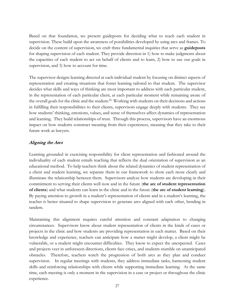Based on that foundation, we present guideposts for deciding what to teach each student in supervision. These build upon the awareness of possibilities developed by using arcs and frames. To decide on the content of supervision, we craft three fundamental inquiries that serve as **guideposts**  for shaping supervision of each student. They provide direction in 1) how to make judgments about the capacities of each student to act on behalf of clients and to learn, 2) how to use our goals in supervision, and 3) how to account for time.

The supervisor designs learning directed at each individual student by focusing on distinct aspects of representation and creating situations that foster learning tailored to that student. The supervisor decides what skills and ways of thinking are most important to address with each particular student, in the representation of each particular client, at each particular moment while remaining aware of the overall goals for the clinic and the student.<sup>[6]</sup> Working with students on their decisions and actions in fulfilling their responsibilities to their clients, supervisors engage deeply with students. They see how students' thinking, emotions, values, and sense of themselves affect dynamics of representation and learning. They build relationships of trust. Through this process, supervisors have an enormous impact on how students construct meaning from their experiences, meaning that they take to their future work as lawyers.

#### Aligning the Arcs

Learning grounded in exercising responsibility for client representation and fashioned around the individuality of each student entails teaching that reflects the dual orientation of supervision as an educational method. To help teachers think about the related dynamics of student representation of a client and student learning, we separate them in our framework to show each more clearly and illuminate the relationship between them. Supervisors analyze how students are developing in their commitment to serving their clients well now and in the future (**the arc of student representation of clients**) and what students can learn in the clinic and in the future (**the arc of student learning**). By paying attention to growth in a student's representation of clients and in a student's learning, the teacher is better situated to shape supervision to generate arcs aligned with each other, bending in tandem.

Maintaining this alignment requires careful attention and constant adaptation to changing circumstances. Supervisors know about student representation of clients in the kinds of cases or projects in the clinic and how students are providing representation in each matter. Based on their knowledge and experience, teachers can anticipate how a matter might develop, a client might be vulnerable, or a student might encounter difficulties. They know to expect the unexpected. Cases and projects veer in unforeseen directions, clients face crises, and students stumble on unanticipated obstacles. Therefore, teachers watch the progression of both arcs as they plan and conduct supervision. In regular meetings with students, they address immediate tasks, harnessing student skills and reinforcing relationships with clients while supporting immediate learning. At the same time, each meeting is only a moment in the supervision in a case or project or throughout the clinic experience.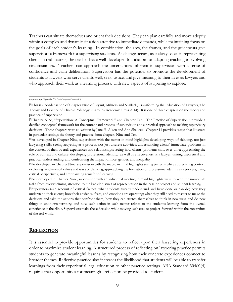Teachers can situate themselves and orient their decisions. They can plan carefully and move adeptly within a complex and dynamic situation attentive to immediate demands, while maintaining focus on the goals of each student's learning. In combination, the arcs, the frames, and the guideposts give supervisors a framework for supervising students. As change occurs, as it always does in representing clients in real matters, the teacher has a well-developed foundation for adapting teaching to evolving circumstances. Teachers can approach the uncertainties inherent in supervision with a sense of confidence and calm deliberation. Supervision has the potential to promote the development of students as lawyers who serve clients well, seek justice, and give meaning to their lives as lawyers and who approach their work as a learning process, with new aspects of lawyering to explore.

Endnotes for *"Supervision: The Basic Conceptual Framework"*:

#### **REFLECTION**

It is essential to provide opportunities for students to reflect upon their lawyering experiences in order to maximize student learning. A structured process of reflecting on lawyering practice permits students to generate meaningful lessons by recognizing how their concrete experiences connect to broader themes. Reflective practice also increases the likelihood that students will be able to transfer learnings from their experiential legal education to other practice settings. ABA Standard 304(a)(4) requires that opportunities for meaningful reflection be provided to students.

<sup>[1]</sup>This is a condensation of Chapter Nine of Bryant, Milstein and Shalleck, Transforming the Education of Lawyers, The Theory and Practice of Clinical Pedagogy, (Carolina Academic Press 2014). It is one of three chapters on the theory and practice of supervision.

<sup>[2]</sup>Chapter Nine, "Supervision: A Conceptual Framework," and Chapter Ten, "The Practice of Supervision," provide a detailed conceptual framework for the content and process of supervision and a practical approach to making supervisory decisions. These chapters were co-written by Jane H. Aiken and Ann Shalleck. Chapter 11 provides essays that illustrate in particular settings the theory and practice from chapters Nine and Ten.

<sup>[3]</sup>As developed in Chapter Nine, supervision with the matter in mind highlights developing ways of thinking, not just lawyering skills; seeing lawyering as a process, not just discrete activities; understanding clients' immediate problems in the context of their overall experiences and relationships; seeing how clients' problems shift over time; appreciating the role of context and culture; developing professional identity, as well as effectiveness as a lawyer; uniting theoretical and practical understanding; and confronting the impact of race, gender, and inequality.

<sup>[4]</sup>As developed in Chapter Nine, supervision with the macro in mind highlights seeing patterns while appreciating context; exploring fundamental values and ways of thinking; approaching the formation of professional identity as a process; using critical perspectives; and emphasizing transfer of learning.

<sup>[5]</sup>As developed in Chapter Nine, supervision with an individual meeting in mind highlights ways to keep the immediate tasks from overwhelming attention to the broader issues of representation in the case or project and student learning.

<sup>[6]</sup>Supervisors take account of critical factors: what students already understand and have done or can do; how they understand their clients; how their anxieties, fears, and emotions are operating; what they still need to master to make the decisions and take the actions that confront them; how they can stretch themselves to think in new ways and do new things in unknown territory; and how each action in each matter relates to the student's learning from the overall experience in the clinic. Supervisors make these decision while moving each case or project forward within the constraints of the real world.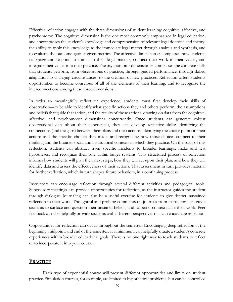Effective reflection engages with the three dimensions of student learning: cognitive, affective, and psychomotor. The cognitive dimension is the one most commonly emphasized in legal education, and encompasses the student's knowledge and comprehension of relevant legal doctrine and theory, the ability to apply this knowledge to the immediate legal matter through analysis and synthesis, and to evaluate the outcome against given metrics. The affective dimension encompasses how students recognize and respond to stimuli in their legal practice, connect their work to their values, and integrate their values into their practice. The psychomotor dimension encompasses the concrete skills that students perform, from observations of practice, through guided performance, through skilled adaptation to changing circumstances, to the creation of new practices. Reflection offers students opportunities to become conscious of all of the elements of their learning, and to recognize the interconnections among these three dimensions.

In order to meaningfully reflect on experience, students must first develop their skills of observation—to be able to identify what specific actions they and others perform, the assumptions and beliefs that guide that action, and the results of those actions, drawing on data from the cognitive, affective, and psychomotor dimensions concurrently. Once students can generate robust observational data about their experiences, they can develop reflective skills: identifying the connections (and the gaps) between their plans and their actions, identifying the choice points in their actions and the specific choices they made, and recognizing how those choices connect to their thinking and the broader social and institutional contexts in which they practice. On the basis of this reflection, students can abstract from specific incidents to broader learnings, make and test hypotheses, and recognize their role within larger systems. This structured process of reflection informs how students will plan their next steps, how they will act upon their plan, and how they will identify data and assess the effectiveness of their actions. That assessment in turn provides material for further reflection, which in turn shapes future behaviors, in a continuing process.

Instructors can encourage reflection through several different activities and pedagogical tools. Supervisory meetings can provide opportunities for reflection, as the instructor guides the student through dialogue. Journaling can also be a useful exercise for students to give deeper, sustained reflection to their work. Thoughtful and probing comments on journals from instructors can guide students to surface and question their unstated beliefs, and to better contextualize their work. Peer feedback can also helpfully provide students with different perspectives that can encourage reflection.

Opportunities for reflection can occur throughout the semester. Encouraging deep reflection at the beginning, midpoint, and end of the semester, at a minimum, can helpfully situate a student's concrete experiences within broader educational goals. There is no one right way to teach students to reflect or to incorporate it into your course.

#### <span id="page-29-0"></span>**PRACTICE**

Each type of experiential course will present different opportunities and limits on student practice. Simulation courses, for example, are limited to hypothetical problems, but can be controlled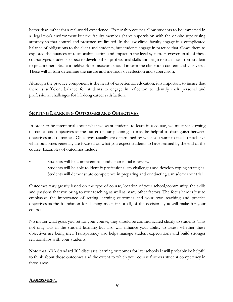better than rather than real-world experience. Externship courses allow students to be immersed in a legal work environment but the faculty member shares supervision with the on-site supervising attorney so that control and presence are limited. In the law clinic, faculty engage in a complicated balance of obligations to the client and students, but students engage in practice that allows them to explored the nuances of relationship, action and impact in the legal system. However, in all of these course types, students expect to develop their professional skills and begin to transition from student to practitioner. Student fieldwork or casework should inform the classroom content and vice versa. These will in turn determine the nature and methods of reflection and supervision.

Although the practice component is the heart of experiential education, it is important to insure that there is sufficient balance for students to engage in reflection to identify their personal and professional challenges for life-long career satisfaction.

# **SETTING LEARNING OUTCOMES AND OBJECTIVES**

In order to be intentional about what we want students to learn in a course, we must set learning outcomes and objectives at the outset of our planning. It may be helpful to distinguish between objectives and outcomes. Objectives usually are determined by what you want to teach or achieve while outcomes generally are focused on what you expect students to have learned by the end of the course. Examples of outcomes include:

- Students will be competent to conduct an initial interview.
- Students will be able to identify professionalism challenges and develop coping strategies.
- Students will demonstrate competence in preparing and conducting a misdemeanor trial.

Outcomes vary greatly based on the type of course, location of your school/community, the skills and passions that you bring to your teaching as well as many other factors. The focus here is just to emphasize the importance of setting learning outcomes and your own teaching and practice objectives as the foundation for shaping most, if not all, of the decisions you will make for your course.

No matter what goals you set for your course, they should be communicated clearly to students. This not only aids in the student learning but also will enhance your ability to assess whether these objectives are being met. Transparency also helps manage student expectations and build stronger relationships with your students.

Note that ABA Standard 302 discusses learning outcomes for law schools It will probably be helpful to think about those outcomes and the extent to which your course furthers student competency in those areas.

# <span id="page-30-0"></span>**ASSESSMENT**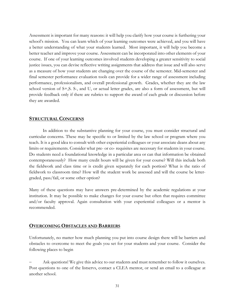Assessment is important for many reasons: it will help you clarify how your course is furthering your school's mission. You can learn which of your learning outcomes were achieved, and you will have a better understanding of what your students learned. Most important, it will help you become a better teacher and improve your course. Assessment can be incorporated into other elements of your course. If one of your learning outcomes involved students developing a greater sensitivity to social justice issues, you can devise reflective writing assignments that address that issue and will also serve as a measure of how your students are changing over the course of the semester. Mid-semester and final semester performance evaluation tools can provide for a wider range of assessment including performance, professionalism, and overall professional growth. Grades, whether they are the law school version of S+,S. S-, and U, or actual letter grades, are also a form of assessment, but will provide feedback only if there are rubrics to support the award of each grade or discussion before they are awarded.

#### <span id="page-31-0"></span>**STRUCTURAL CONCERNS**

In addition to the substantive planning for your course, you must consider structural and curricular concerns. These may be specific to or limited by the law school or program where you teach. It is a good idea to consult with other experiential colleagues or your associate deans about any limits or requirements. Consider what pre- or co- requisites are necessary for students in your course. Do students need a foundational knowledge in a particular area or can that information be obtained contemporaneously? How many credit hours will be given for your course? Will this include both the fieldwork and class time or is credit given separately for each portion? What is the ratio of fieldwork to classroom time? How will the student work be assessed and will the course be lettergraded, pass/fail, or some other option?

Many of these questions may have answers pre-determined by the academic regulations at your institution. It may be possible to make changes for your course but often that requires committee and/or faculty approval. Again consultation with your experiential colleagues or a mentor is recommended.

#### <span id="page-31-1"></span>**OVERCOMING OBSTACLES AND BARRIERS**

Unfortunately, no matter how much planning you put into course design there will be barriers and obstacles to overcome to meet the goals you set for your students and your course. Consider the following places to begin

Ask questions! We give this advice to our students and must remember to follow it ourselves. Post questions to one of the listservs, contact a CLEA mentor, or send an email to a colleague at another school.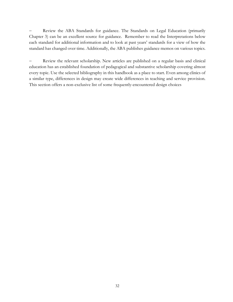Review the ABA Standards for guidance. The Standards on Legal Education (primarily Chapter 3) can be an excellent source for guidance. Remember to read the Interpretations below each standard for additional information and to look at past years' standards for a view of how the standard has changed over time. Additionally, the ABA publishes guidance memos on various topics.

Review the relevant scholarship. New articles are published on a regular basis and clinical education has an established foundation of pedagogical and substantive scholarship covering almost every topic. Use the selected bibliography in this handbook as a place to start. Even among clinics of a similar type, differences in design may create wide differences in teaching and service provision. This section offers a non-exclusive list of some frequently-encountered design choices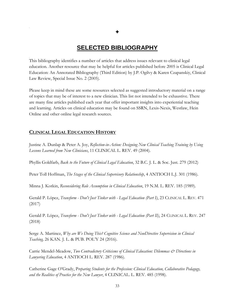# **SELECTED BIBLIOGRAPHY**

<span id="page-33-0"></span>This bibliography identifies a number of articles that address issues relevant to clinical legal education. Another resource that may be helpful for articles published before 2005 is Clinical Legal Education: An Annotated Bibliography (Third Edition) by J.P. Ogilvy & Karen Czapanskiy, Clinical Law Review, Special Issue No. 2 (2005).

Please keep in mind these are some resources selected as suggested introductory material on a range of topics that may be of interest to a new clinician. This list not intended to be exhaustive. There are many fine articles published each year that offer important insights into experiential teaching and learning. Articles on clinical education may be found on SSRN, Lexis-Nexis, Westlaw, Hein Online and other online legal research sources.

#### <span id="page-33-1"></span>**CLINICAL LEGAL EDUCATION HISTORY**

Justine A. Dunlap & Peter A. Joy, *Reflection-in-Action: Designing New Clinical Teaching Training by Using Lessons Learned from New Clinicians*, 11 CLINICAL L. REV. 49 (2004).

Phyllis Goldfarb, *Back to the Future of Clinical Legal Education*, 32 B.C. J. L. & Soc. Just. 279 (2012)

Peter Toll Hoffman, *The Stages of the Clinical Supervisory Relationship*, 4 ANTIOCH L.J. 301 (1986).

Minna J. Kotkin, *Reconsidering Role Assumption in Clinical Education*, 19 N.M. L. REV. 185 (1989).

Gerald P. López, *Transform - Don't Just Tinker with - Legal Education (Part I)*, 23 CLINICAL L. REV. 471 (2017)

Gerald P. López, *Transform - Don't Just Tinker with - Legal Education (Part II)*, 24 CLINICAL L. REV. 247 (2018)

Serge A. Martinez, *Why are We Doing This? Cognitive Science and NonDirective Supervision in Clinical Teaching,* 26 KAN. J. L. & PUB. POL'Y 24 (2016).

Carrie Mendel-Meadow, *Two Contradictory Criticisms of Clinical Education: Dilemmas & Directions in Lawyering Education*, 4 ANTIOCH L. REV. 287 (1986).

Catherine Gage O'Grady, P*reparing Students for the Profession: Clinical Education, Collaborative Pedagogy, and the Realities of Practice for the New Lawyer*, 4 CLINICAL. L. REV. 485 (1998).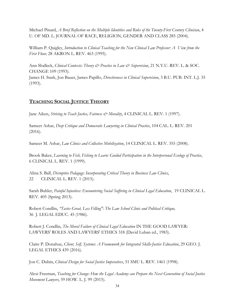Michael Pinard, *A Brief Reflection on the Multiple Identities and Roles of the Twenty-First Century Clinician*, 4 U. OF MD. L. JOURNAL OF RACE, RELIGION, GENDER AND CLASS 285 (2004).

William P. Quigley, *Introduction to Clinical Teaching for the New Clinical Law Professor: A View from the First Floor,* 28 AKRON L. REV. 463 (1995).

Ann Shalleck, *Clinical Contexts: Theory & Practice in Law & Supervision*, 21 N.Y.U. REV. L. & SOC. CHANGE 109 (1993).

James H. Stark, Jon Bauer, James Papillo, *Directiveness in Clinical Supervision*, 3 B.U. PUB. INT. L.J. 35 (1993).

# <span id="page-34-0"></span>**TEACHING SOCIAL JUSTICE THEORY**

Jane Aiken, *Striving to Teach Justice, Fairness & Morality*, 4 CLINICAL L. REV. 1 (1997).

Sameer Ashar, *Deep Critique and Democratic Lawyering in Clinical Practice*, 104 CAL. L. REV. 201 (2016).

Sameer M. Ashar, *Law Clinics and Collective Mobilization*, 14 CLINICAL L. REV. 355 (2008).

Brook Baker, *Learning to Fish, Fishing to Learn: Guided Participation in the Interpersonal Ecology of Practice*, 6 CLINICAL L. REV. 1 (1999).

Alina S. Ball, *Disruptive Pedagogy: Incorporating Critical Theory in Business Law Clinics*, 22 CLINICAL L. REV. 1 (2015).

Sarah Buhler, *Painful Injustices: Encountering Social Suffering in Clinical Legal Education*, 19 CLINICAL L. REV. 405 (Spring 2013).

Robert Condlin, *"Tastes Great, Less Filling": The Law School Clinic and Political Critique,* 36 J. LEGAL EDUC. 45 (1986).

Robert J. Condlin, *The Moral Failure of Clinical Legal Education* IN THE GOOD LAWYER: LAWYERS' ROLES AND LAWYERS' ETHICS 318 (David Luban ed., 1983).

Claire P. Donahue, *Client, Self, Systems: A Framework for Integrated Skills-Justice Education*, 29 GEO. J. LEGAL ETHICS 439 (2016).

Jon C. Dubin, *Clinical Design for Social Justice Imperatives*, 51 SMU L. REV. 1461 (1998).

Alexi Freeman, *Teaching for Change: How the Legal Academy can Prepare the Next Generation of Social Justice Movement Lawyers*, 59 HOW. L. J. 99 (2015).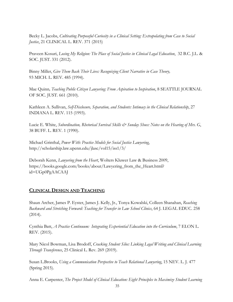Becky L. Jacobs, *Cultivating Purposeful Curiosity in a Clinical Setting: Extrapolating from Case to Social Justice*, 21 CLINICAL L. REV. 371 (2015)

Praveen Kosuri, *Losing My Religion: The Place of Social Justice in Clinical Legal Education*, 32 B.C. J.L. & SOC. JUST. 331 (2012).

Binny Miller, *Give Them Back Their Lives: Recognizing Client Narrative in Case Theory,* 93 MICH. L. REV. 485 (1994).

Mae Quinn*, Teaching Public Citizen Lawyering: From Aspiration to Inspiration*, 8 SEATTLE JOURNAL OF SOC. JUST. 661 (2010).

Kathleen A. Sullivan, *Self-Disclosure, Separation, and Students: Intimacy in the Clinical Relationship*, 27 INDIANA L. REV. 115 (1993).

Lucie E. White, *Subordination, Rhetorical Survival Skills & Sunday Shoes: Notes on the Hearing of Mrs. G,* 38 BUFF. L. REV. 1 (1990).

Michael Grinthal, *Power With: Practice Models for Social Justice Lawyering*, http://scholarship.law.upenn.edu/jlasc/vol15/iss1/3/

Deborah Kenn, *Lawyering from the Heart*, Wolters Kluwer Law & Business 2009, https://books.google.com/books/about/Lawyering\_from\_the\_Heart.html? id=UGp0PgAACAAJ

# <span id="page-35-0"></span>**CLINICAL DESIGN AND TEACHING**

Shaun Archer, James P. Eyster, James J. Kelly, Jr., Tonya Kowalski, Colleen Shanahan, *Reaching Backward and Stretching Forward: Teaching for Transfer in Law School Clinics*, 64 J. LEGAL EDUC. 258 (2014).

Cynthia Batt, *A Practice Continuum: Integrating Experiential Education into the Curriculum*, 7 ELON L. REV. (2015).

Mary Nicol Bowman, Lisa Brodoff, *Cracking Student Silos: Linking Legal Writing and Clinical Learning Through Transference*, 25 Clinical L. Rev. 269 (2019).

Susan L.Brooks, *Using a Communication Perspective to Teach Relational Lawyering*, 15 NEV. L. J. 477 (Spring 2015).

Anna E. Carpenter, *The Project Model of Clinical Education: Eight Principles to Maximize Student Learning*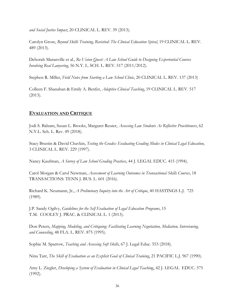*and Social Justice Impact*, 20 CLINICAL L. REV. 39 (2013).

Carolyn Grose, *Beyond Skills Training, Revisited: The Clinical Education Spiral*, 19 CLINICAL L. REV. 489 (2013).

Deborah Maranville et al., *Re-Vision Quest: A Law School Guide to Designing Experiential Courses Involving Real Lawyering*, 56 N.Y. L. SCH. L. REV. 517 (2011/2012).

Stephen R. Miller, *Field Notes from Starting a Law School Clinic*, 20 CLINICAL L. REV. 137 (2013)

Colleen F. Shanahan & Emily A. Benfer, *Adaptive Clinical Teaching*, 19 CLINICAL L. REV. 517 (2013).

# <span id="page-36-0"></span>**EVALUATION AND CRITIQUE**

Jodi S. Balsam, Susan L. Brooks, Margaret Reuter, *Assessing Law Students As Reflective Practitioners*, 62 N.Y.L. Sch. L. Rev. 49 (2018).

Stacy Brustin & David Chavkin, *Testing the Grades: Evaluating Grading Modes in Clinical Legal Education*, 3 CLINICAL L. REV. 229 (1997).

Nancy Kaufman, *A Survey of Law School Grading Practices*, 44 J. LEGAL EDUC. 415 (1994).

Carol Morgan & Carol Newman, *Assessment of Learning Outcomes in Transactional Skills Courses*, 18 TRANSACTIONS: TENN J. BUS. L. 601 (2016).

Richard K. Neumann, Jr., *A Preliminary Inquiry into the Art of Critique*, 40 HASTINGS L.J. 725 (1989).

J.P. Sandy Ogilvy, *Guidelines for the Self Evaluation of Legal Education Programs*, 15 T.M. COOLEY J. PRAC. & CLINICAL L. 1 (2013).

Don Peters, *Mapping, Modeling, and Critiquing: Facilitating Learning Negotiation, Mediation, Interviewing, and Counseling*, 48 FLA. L. REV. 875 (1995).

Sophie M. Sparrow, *Teaching and Assessing Soft Skills*, 67 J. Legal Educ. 553 (2018).

Nina Tarr, *The Skill of Evaluation as an Explicit Goal of Clinical Training*, 21 PACIFIC L.J. 967 (1990).

Amy L. Ziegler, *Developing a System of Evaluation in Clinical Legal Teachin*g, 42 J. LEGAL EDUC. 575 (1992).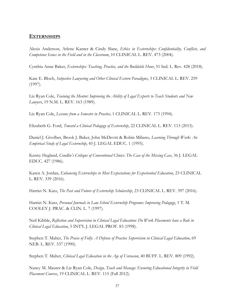#### <span id="page-37-0"></span>**EXTERNSHIPS**

Alexis Anderson, Arlene Kanter & Cindy Slane, *Ethics in Externships: Confidentiality, Conflicts, and Competence Issues in the Field and in the Classroom*, 10 CLINICAL L. REV. 473 (2004).

Cynthia Anne Baker, *Externships: Teaching, Practice, and the Buildable Hour*, 51 Ind. L. Rev. 428 (2018).

Kate E. Bloch, *Subjective Lawyering and Other Clinical Extern Paradigms*, 3 CLINICAL L. REV. 259 (1997).

Liz Ryan Cole, *Training the Mentor: Improving the Ability of Legal Experts to Teach Students and New Lawyers*, 19 N.M. L. REV. 163 (1989).

Liz Ryan Cole, *Lessons from a Semester in Practice*, 1 CLINICAL L. REV. 173 (1994).

Elizabeth G. Ford, *Toward a Clinical Pedagogy of Externship*, 22 CLINICAL L. REV. 113 (2015).

Daniel J. Givelber, Brook J. Baker, John McDevitt & Robin Miliano, *Learning Through Work: An Empirical Study of Legal Externship*, 45 J. LEGAL EDUC. 1 (1995).

Kenny Hegland, *Condlin's Critique of Conventional Clinics: The Case of the Missing Case*, 36 J. LEGAL EDUC. 427 (1986).

Karen A. Jordan, *Enhancing Externships to Meet Expectations for Experiential Education*, 23 CLINICAL L. REV. 339 (2016).

Harriet N. Katz, *The Past and Future of Externship Scholarship*, 23 CLINICAL L. REV. 397 (2016).

Harriet N. Katz, *Personal Journals in Law School Externship Programs: Improving Pedagogy*, 1 T. M. COOLEY J. PRAC. & CLIN. L. 7 (1997).

Neil Kibble, *Reflection and Supervision in Clinical Legal Education: Do Work Placements have a Role in Clinical Legal Education*, 5 INT'L J. LEGAL PROF. 83 (1998).

Stephen T. Maher, *The Praise of Folly: A Defense of Practice Supervision in Clinical Legal Education*, 69 NEB. L. REV. 537 (1990).

Stephen T. Maher, *Clinical Legal Education in the Age of Unreason*, 40 BUFF. L. REV. 809 (1992).

Nancy M. Maurer & Liz Ryan Cole, *Design, Teach and Manage: Ensuring Educational Integrity in Field Placement Courses*, 19 CLINICAL L. REV. 115 (Fall 2012).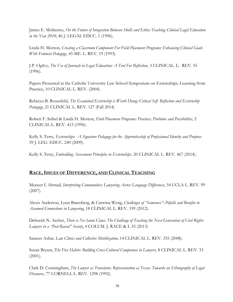James E. Moliterno, *On the Future of Integration Between Skills and Ethics Teaching: Clinical Legal Education in the Year 2010*, 46 J. LEGAL EDUC. 1 (1996).

Linda H. Morton, *Creating a Classroom Component For Field Placement Programs: Enhancing Clinical Goals With Feminist Pedagogy*, 45 ME. L. REV. 19 (1993).

J.P. Ogilvy, *The Use of Journals in Legal Education: A Tool For Reflection*, 3 CLINICAL. L. REV. 55 (1996).

Papers Presented at the Catholic University Law School Symposium on Externships: Learning from Practice, 10 CLINICAL L. REV. (2004).

Rebecca B. Rosenfeld, *The Examined Externship is Worth Doing: Critical Self- Reflection and Externship Pedagogy*, 21 CLINICAL L. REV. 127 (Fall 2014)

Robert F. Seibel & Linda H. Morton, *Field Placement Programs: Practices, Problems and Possibilities,* 2 CLINICAL L. REV. 413 (1996).

Kelly S. Terry, *Externships: A Signature Pedagogy for the Apprenticeship of Professional Identity and Purpose*. 59 J. LEG. EDUC. 240 (2009).

Kelly S. Terry, *Embedding Assessment Principles in Externships*. 20 CLINICAL L. REV. 467 (2014).

# <span id="page-38-0"></span>**RACE,ISSUES OF DIFFERENCE, AND CLINICAL TEACHING**

Muneer I. Ahmad, *Interpreting Communities: Lawyering Across Language Differences*, 54 UCLA L. REV. 99 (2007).

Alexis Anderson, Lynn Barenberg, & Carwina Weng, *Challenges of "Sameness": Pitfalls and Benefits to Assumed Connections in Lawyering*, 18 CLINICAL L. REV. 339 (2012).

Deborah N. Archer, *There is No Santa Claus: The Challenge of Teaching the Next Generation of Civil Rights Lawyers in a "Post-Racial" Society*, 4 COLUM. J. RACE & L 55 (2013)

Sameer Ashar, *Law Clinics and Collective Mobilization*, 14 CLINICAL L. REV. 355 (2008).

Susan Bryant, T*he Five Habits: Building Cross-Cultural Competence in Lawyers*, 8 CLINICAL L. REV. 33 (2001).

Clark D. Cunningham, *The Lawyer as Translator, Representation as Texas: Towards an Ethnography of Legal Discourse*, 77 CORNELL L. REV. 1298 (1992).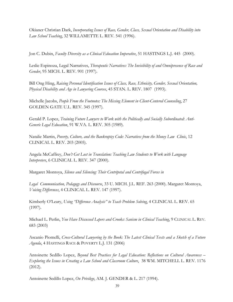Okianer Christian Dark, *Incorporating Issues of Race, Gender, Class, Sexual Orientation and Disability into Law School Teaching*, 32 WILLAMETTE L. REV. 541 (1996).

Jon C. Dubin, *Faculty Diversity as a Clinical Education Imperative*, 51 HASTINGS L.J. 445 (2000).

Leslie Espinoza, Legal Narratives, *Therapeutic Narratives: The Invisibility of and Omnipresence of Race and Gender*, 95 MICH. L. REV. 901 (1997).

Bill Ong Hing, *Raising Personal Identification Issues of Class, Race, Ethnicity, Gender, Sexual Orientation, Physical Disability and Age in Lawyering Courses*, 45 STAN. L. REV. 1807 (1993).

Michelle Jacobs, *People From the Footnotes: The Missing Element in Client-Centered Counseling*, 27 GOLDEN GATE U.L. REV. 345 (1997).

Gerald P. Lopez, *Training Future Lawyers to Work with the Politically and Socially Subordinated: Anti-Generic Legal Education*, 91 W.VA. L. REV. 305 (1989).

Natalie Martin, *Poverty, Culture, and the Bankruptcy Code: Narratives from the Money Law Clinic*, 12 CLINICAL L. REV. 203 (2005).

Angela McCaffrey, *Don't Get Lost in Translation: Teaching Law Students to Work with Language Interpreters*, 6 CLINICAL L. REV. 347 (2000).

Margaret Montoya, *Silence and Silencing: Their Centripetal and Centrifugal Forces in*

*Legal Communication, Pedagogy and Discourse*, 33 U. MICH. J.L. REF. 263 (2000). Margaret Montoya, *Voicing Differences*, 4 CLINICAL L. REV. 147 (1997).

Kimberly O'Leary, *Using "Difference Analysis" to Teach Problem Solving*, 4 CLINICAL L. REV. 65 (1997).

Michael L. Perlin, *You Have Discussed Lepers and Crooks: Sanism in Clinical Teaching*, 9 CLINICAL L. REV. 683 (2003)

Ascanio Piomelli, *Cross-Cultural Lawyering by the Book: The Latest Clinical Texts and a Sketch of a Future Agenda*, 4 HASTINGS RACE & POVERTY L.J. 131 (2006)

Antoinette Sedillo Lopez, *Beyond Best Practices for Legal Education: Reflections on Cultural Awareness – Exploring the Issues in Creating a Law School and Classroom Culture*, 38 WM. MITCHELL L. REV. 1176 (2012).

Antoinette Sedillo Lopez, *On Privilege*, AM. J. GENDER & L. 217 (1994).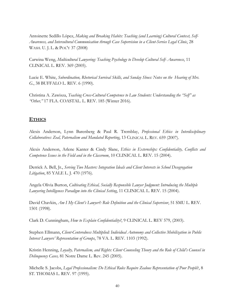Antoinette Sedillo López, *Making and Breaking Habits: Teaching (and Learning) Cultural Context, Self-Awareness, and Intercultural Communication through Case Supervision in a Client-Service Legal Clinic*, 28 WASH. U. J. L. & POL'Y 37 (2008)

Carwina Weng, *Multicultural Lawyering: Teaching Psychology to Develop Cultural Self- Awareness*, 11 CLINICAL L. REV. 369 (2005).

Lucie E. White, *Subordination, Rhetorical Survival Skills, and Sunday Shoes: Notes on the Hearing of Mrs. G.*, 38 BUFFALO L. REV. 6 (1990).

Christina A. Zawisza, *Teaching Cross-Cultural Competence to Law Students: Understanding the "Self" as "Other,"* 17 FLA. COASTAL. L. REV. 185 (Winter 2016).

# <span id="page-40-0"></span>**ETHICS**

Alexis Anderson, Lynn Barenberg & Paul R. Tremblay, *Professional Ethics in Interdisciplinary Collaboratives: Zeal, Paternalism and Mandated Reporting*, 13 CLINICAL L. REV. 659 (2007).

Alexis Anderson, Arlene Kanter & Cindy Slane, *Ethics in Externships: Confidentiality, Conflicts and Competence Issues in the Field and in the Classroom*, 10 CLINICAL L. REV. 15 (2004).

Derrick A. Bell, Jr., *Serving Two Masters: Integration Ideals and Client Interests in School Desegregation Litigation*, 85 YALE L. J. 470 (1976).

Angela Olivia Burton, *Cultivating Ethical, Socially Responsible Lawyer Judgment: Introducing the Multiple Lawyering Intelligences Paradigm into the Clinical Setting*, 11 CLINICAL L. REV. 15 (2004).

David Chavkin, *Am I My Client's Lawyer?: Role Definition and the Clinical Supervisor*, 51 SMU L. REV. 1501 (1998).

Clark D. Cunningham, *How to Explain Confidentiality?*, 9 CLINICAL L. REV 579, (2003).

Stephen Ellmann, *Client-Centeredness Multiplied: Individual Autonomy and Collective Mobilization in Public Interest Lawyers' Representation of Groups*, 78 VA. L. REV. 1103 (1992).

Kristin Henning, *Loyalty, Paternalism, and Rights: Client Counseling Theory and the Role of Child's Counsel in Delinquency Cases,* 81 Notre Dame L. Rev. 245 (2005).

Michelle S. Jacobs, *Legal Professionalism: Do Ethical Rules Require Zealous Representation of Poor People*?, 8 ST. THOMAS L. REV. 97 (1995).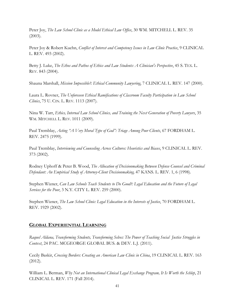Peter Joy, *The Law School Clinic as a Model Ethical Law Office*, 30 WM. MITCHELL L. REV. 35 (2003).

Peter Joy & Robert Kuehn, *Conflict of Interest and Competency Issues in Law Clinic Practice*, 9 CLINICAL L. REV. 493 (2002).

Betty J. Luke, *The Ethos and Pathos of Ethics and Law Students: A Clinician's Perspective*, 45 S. TEX. L. REV. 843 (2004).

Shauna Marshall, *Mission Impossible?: Ethical Community Lawyering*, 7 CLINICAL L. REV. 147 (2000).

Laura L. Rovner, *The Unforeseen Ethical Ramifications of Classroom Faculty Participation in Law School Clinics*, 75 U. CIN. L. REV. 1113 (2007).

Nina W. Tarr, *Ethics, Internal Law School Clinics, and Training the Next Generation of Poverty Lawyers*, 35 WM. MITCHELL L. REV. 1011 (2009).

Paul Tremblay, *Acting "A Very Moral Type of God": Triage Among Poor Clients*, 67 FORDHAM L. REV. 2475 (1999).

Paul Tremblay, *Interviewing and Counseling Across Cultures: Heuristics and Biases*, 9 CLINICAL L. REV. 373 (2002).

Rodney Uphoff & Peter B. Wood, *The Allocation of Decisionmaking Between Defense Counsel and Criminal Defendant: An Empirical Study of Attorney-Client Decisionmaking,* 47 KANS. L. REV. 1, 6 (1998).

Stephen Wizner, *Can Law Schools Teach Students to Do Good?: Legal Education and the Future of Legal Services for the Poor*, 3 N.Y. CITY L. REV. 259 (2000).

Stephen Wizner, *The Law School Clinic: Legal Education in the Interests of Justice*, 70 FORDHAM L. REV. 1929 (2002).

# <span id="page-41-0"></span>**GLOBAL EXPERIENTIAL LEARNING**

*Raquel Aldana, Transforming Students, Transforming Selves: The Power of Teaching Social Justice Struggles in Context*, 24 PAC. MCGEORGE GLOBAL BUS. & DEV. L.J. (2011).

Cecily Baskir, *Crossing Borders: Creating an American Law Clinic in China*, 19 CLINICAL L. REV. 163 (2012).

William L. Berman, *Why Not an International Clinical Legal Exchange Program, It Is Worth the Schlep*, 21 CLINICAL L. REV. 171 (Fall 2014).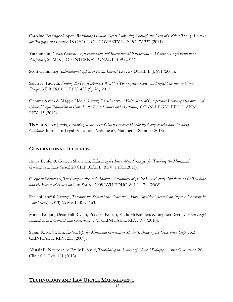Caroline Bettinger-Lopez, *Redefining Human Rights Lawyering Through the Lens of Critical Theory: Lessons for Pedagogy and Practice*, 18 GEO. J. ON POVERTY L. & POL'Y 337 (2011).

Yanmin Cai, *Global Clinical Legal Education and International Partnerships: A Chinese Legal Educator's Perspective*, 26 MD. J. OF INTERNATIONAL L. 159 (2011).

Scott Cummings, *Internationalization of Public Interest Law,* 57 DUKE L. J. 891 (2008).

Sarah H. Paoletti, *Finding the Pearls when the World is Your Oyster: Case and Project Selection in Clinic Design*, 5 DREXEL L. REV. 423 (Spring 2013)..

Gemma Smith & Maggie Liddle*, Lulling Ourselves into a False Sense of Competence: Learning Outcomes and Clinical Legal Education in Canada, the United States and Australia*, 6 CAN. LEGAL EDUC. ANN. REV. 15 (2012).

Theresa Kaiser-Jarvis, *Preparing Students for Global Practice: Developing Competencies and Providing Guidance*, Journal of Legal Education, Volume 67, Number 4 (Summer 2018)

### <span id="page-42-0"></span>**GENERATIONAL DIFFERENCE**

Emily Benfer & Colleen Shanahan, *Educating the Invincibles: Strategies for Teaching the Millennial Generation in Law School*, 20 CLINICAL L. REV. 1 (Fall 2013).

Gregory Bowman, *The Comparative and Absolute Advantages of Junior Law Faculty: Implications for Teaching and the Future of American Law Schools*, 2008 BYU EDUC. & L.J. 171. (2008).

Shailini Jandial George, *Teaching the Smartphone Generation: How Cognitive Science Can Improve Learning in Law School*, (2013) 66 Me. L. Rev. 163.

Minna Kotkin, Dean Hill Rivkin, Praveen Kosuri, Karla McKanders & Stephen Reed, *Clinical Legal Education at a Generational Crossroads*, 17.1 CLINICAL L. REV. 197 (2010).

Susan K. McClellan, *Externships for Millennial Generation Students: Bridging the Generation Gap*, 15.2 CLINICAL L. REV. 255 (2009).

Alistair E. Newbern & Emily F. Suski, *Translating the Values of Clinical Pedagogy Across Generations,* 20 Clinical L. Rev. 181 (2013).

# <span id="page-42-1"></span>**TECHNOLOGY AND LAW OFFICE MANAGEMENT**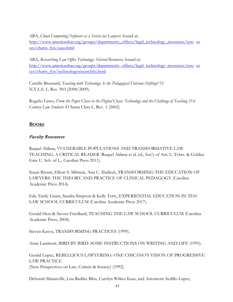ABA, *Cloud Computing/Software as a Service for Lawyers;* found at:

[http://www.americanbar.org/groups/departments\\_offices/legal\\_technology\\_resources/reso](http://www.americanbar.org/groups/departments_offices/legal_technology_resources/resources/charts_fyis/saas.html) [ur](http://www.americanbar.org/groups/departments_offices/legal_technology_resources/resources/charts_fyis/saas.html)  [ces/charts\\_fyis/saas.html](http://www.americanbar.org/groups/departments_offices/legal_technology_resources/resources/charts_fyis/saas.html)

ABA, *Researching Law Office Technology: Selected Resources:* found at: [http://www.americanbar.org/groups/departments\\_offices/legal\\_technology\\_resources/reso](http://www.americanbar.org/groups/departments_offices/legal_technology_resources/resources/charts_fyis/technologyresearchfyi.html) [ur](http://www.americanbar.org/groups/departments_offices/legal_technology_resources/resources/charts_fyis/technologyresearchfyi.html)  [ces/charts\\_fyis/technologyresearchfyi.html](http://www.americanbar.org/groups/departments_offices/legal_technology_resources/resources/charts_fyis/technologyresearchfyi.html)

Camille Brousard, *Teaching with Technology: Is the Pedagogical Fulcrum Shifting?* 53 N.Y.L.S. L. Rev. 903 (2008/2009).

Rogelio Lasso, *From the Paper Chase to the Digital Chase: Technology and the Challenge of Teaching 21st Century Law Students* 43 Santa Clara L. Rev. 1 (2002).

# <span id="page-43-0"></span>**BOOKS**

# <span id="page-43-1"></span>Faculty Resources

Raquel Aldana, VULNERABLE POPULATIONS AND TRANSFORMATIVE LAW TEACHING: A CRITICAL READER (Raquel Aldana et al. ed., Soc'y of Am. L. Tchrs. & Golden Gate U. Sch. of L., Carolina Press 2011).

Susan Bryant, Elliott S. Milstein, Ann C. Shalleck, TRANSFORMING THE EDUCATION OF LAWYERS: THE THEORY AND PRACTICE OF CLINICAL PEDAGOGY (Carolina Academic Press 2014).

Eds. Emily Grant, Sandra Simpson & Kelly Terry, EXPERIENTIAL EDUCATION IN TEH LAW SCHOOL CURRICULUM (Carolina Academic Press 2017).

Gerald Hess & Steven Friedland, TEACHING THE LAW SCHOOL CURRICULUM (Carolina Academic Press, 2004).

Steven Keeva, TRANSFORMING PRACTICES (1999).

Anne Lammott, BIRD BY BIRD: SOME INSTRUCTIONS ON WRITING AND LIFE (1995).

Gerald Lopez, REBELLIOUS LAWYERING: ONE CHICANO'S VISION OF PROGRESSIVE LAW PRACTICE (New Perspectives on Law, Culture & Society) (1992).

Deborah Maranville, Lisa Radtke Bliss, Carolyn Wilkes Kaas, and Antoinette Sedillo Lopez,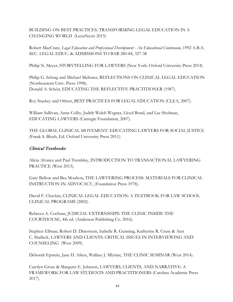BUILDING ON BEST PRACTICES: TRANSFORMING LEGAL EDUCATION IN A CHANGING WORLD (LexisNexis 2015)

Robert MacCrate, *Legal Education and Professional Development - An Educational Continuum*, 1992 A.B.A. SEC. LEGAL EDUC. & ADMISSIONS TO BAR 280-84, 327-38

Philip N. Meyer, STORYTELLING FOR LAWYERS (New York: Oxford University Press 2014)

Philip G. Schrag and Michael Meltsner, REFLECTIONS ON CLINICAL LEGAL EDUCATION (Northeastern Univ. Press 1998). Donald A. Schön, EDUCATING THE REFLECTIVE PRACTITIONER (1987).

Roy Stuckey and Others, BEST PRACTICES FOR LEGAL EDUCATION (CLEA, 2007).

William Sullivan, Anne Colby, Judith Welch Wegner, Lloyd Bond, and Lee Shulman, EDUCATING LAWYERS (Carnegie Foundation, 2007).

THE GLOBAL CLINICAL MOVEMENT: EDUCATING LAWYERS FOR SOCIAL JUSTICE (Frank S. Bloch, Ed. Oxford University Press 2011).

# <span id="page-44-0"></span>Clinical Textbooks

Alicia Alvarez and Paul Tremblay, INTRODUCTION TO TRANSACTIONAL LAWYERING PRACTICE (West 2013).

Gary Bellow and Bea Moulton, THE LAWYERING PROCESS: MATERIALS FOR CLINICAL INSTRUCTION IN ADVOCACY, (Foundation Press 1978).

David F. Chavkin, CLINICAL LEGAL EDUCATION: A TEXTBOOK FOR LAW SCHOOL CLINICAL PROGRAMS (2002).

Rebecca A. Cochran, JUDICIAL EXTERNSHIPS: THE CLINIC INSIDE THE COURTHOUSE, 4th ed. (Anderson Publishing Co. 2016).

Stephen Ellman, Robert D. Dinerstein, Isabelle R. Gunning, Katherine R. Cruse & Ann C. Shalleck, LAWYERS AND CLIENTS: CRITICAL ISSUES IN INTERVIEWING AND COUNSELING (West 2009).

Deborah Epstein, Jane H. Aiken, Wallace J. Mlyniec, THE CLINIC SEMINAR (West 2014).

Carolyn Grose & Margaret E. Johnson, LAWYERS, CLIENTS, AND NARRATIVE: A FRAMEWORK FOR LAW STUDENTS AND PRACTITIONERS (Carolina Academic Press 2017).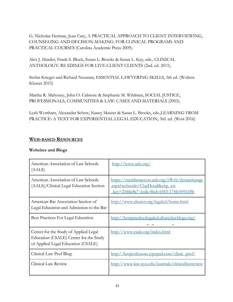G. Nicholas Herman, Jean Cary, A PRACTICAL APPROACH TO CLIENT INTERVIEWING, COUNSELING AND DECISION-MAKING: FOR CLINICAL PROGRAMS AND PRACTICAL COURSES (Carolina Academic Press 2009).

Alex J. Hurder, Frank S. Block, Susan L. Brooks & Susan L. Kay, eds.*,* CLINICAL ANTHOLOGY: READINGS FOR LIVE-CLIENT CLIENTS (2nd. ed. 2011).

Stefan Krieger and Richard Neuman, ESSENTIAL LAWYERING SKILLS, 5th ed. (Wolters Kluwer 2015)

Martha R. Mahoney, John O. Calmore & Stephanie M. Wildman, SOCIAL JUSTICE, PROFESSIONALS, COMMUNITIES & LAW: CASES AND MATERIALS (2003).

Leah Wortham, Alexander Scherr, Nancy Maurer & Susan L. Brooks, eds.,LEARNING FROM PRACTICE: A TEXT FOR EXPERIENTIAL LEGAL EDUCATION, 3rd. ed. (West 2016)

# <span id="page-45-0"></span>**WEB-BASED RESOURCES**

#### **Websites and Blogs**

| American Association of Law Schools<br>(AALS)                                                                         | http://www.aals.org/                                                                                                         |
|-----------------------------------------------------------------------------------------------------------------------|------------------------------------------------------------------------------------------------------------------------------|
| American Association of Law Schools<br>(AALS)/Clinical Legal Education Section                                        | https://memberaccess.aals.org/eWeb/dynamicpage<br>aspx?webcode=ChpDetail&chp_cst<br>key=2546c8e7-1cda-46eb-b9f3-174fc509169b |
| American Bar Association Section of<br>Legal Education and Admission to the Bar                                       | http://www.abanet.org/legaled/home.html                                                                                      |
| Best Practices For Legal Education                                                                                    | http://bestpracticeslegaled.albanylawblogs.org/                                                                              |
| Center for the Study of Applied Legal<br>Education (CSALE) Center for the Study<br>of Applied Legal Education (CSALE) | http://www.csale.org/index.html                                                                                              |
| Clinical Law Prof Blog:                                                                                               | http://lawprofessors.typepad.com/clinic_prof/                                                                                |
| Clinical Law Review                                                                                                   | http://www.law.nyu.edu/journals/clinicallawreview                                                                            |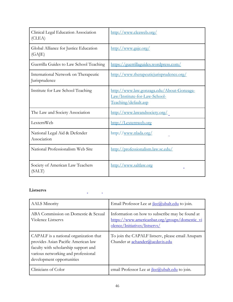| Clinical Legal Education Association<br>(CLEA)        | http://www.cleaweb.org/                                                                            |
|-------------------------------------------------------|----------------------------------------------------------------------------------------------------|
| Global Alliance for Justice Education<br>(GAJE)       | http://www.gaje.org/                                                                               |
| Guerrilla Guides to Law School Teaching               | https://guerrillaguides.wordpress.com/                                                             |
| International Network on Therapeutic<br>Jurisprudence | http://www.therapeuticjurisprudence.org/                                                           |
| Institute for Law School Teaching                     | http://www.law.gonzaga.edu/About-Gonzaga-<br>Law/Institute-for-Law-School-<br>Teaching/default.asp |
| The Law and Society Association                       | http://www.lawandsociety.org/                                                                      |
| LexternWeb                                            | http://Lexternweb.org                                                                              |
| National Legal Aid & Defender<br>Association          | http://www.nlada.org/                                                                              |
| National Professionalism Web Site                     | http://professionalism.law.sc.edu/                                                                 |
| Society of American Law Teachers<br>(SALT)            | http://www.saltlaw.org                                                                             |

# **Listservs**

| <b>AALS Minority</b>                                                                                                                                                                      | Email Professor Lee at <i>ilee@ubalt.edu</i> to join.                                                                              |
|-------------------------------------------------------------------------------------------------------------------------------------------------------------------------------------------|------------------------------------------------------------------------------------------------------------------------------------|
| ABA Commission on Domestic & Sexual<br>Violence Listservs                                                                                                                                 | Information on how to subscribe may be found at<br>https://www.americanbar.org/groups/domestic_vi<br>olence/Initiatives/listservs/ |
| CAPALF is a national organization that<br>provides Asian Pacific American law<br>faculty with scholarship support and<br>various networking and professional<br>development opportunities | To join the CAPALF listserv, please email Anupam<br>Chander at achander@ucdavis.edu                                                |
| Clinicians of Color                                                                                                                                                                       | email Professor Lee at <i>ilee@ubalt.edu</i> to join.                                                                              |

 $\mathbb{Z}$ 

L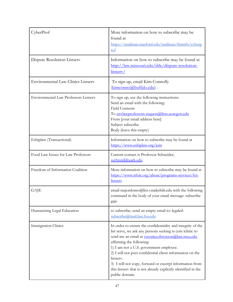| CyberProf                                 | More information on how to subscribe may be<br>found at<br>https://mailman.stanford.edu/mailman/listinfo/cyberp<br><u>rof</u>                                                                                                                                                                                                                                                                                                                                                 |
|-------------------------------------------|-------------------------------------------------------------------------------------------------------------------------------------------------------------------------------------------------------------------------------------------------------------------------------------------------------------------------------------------------------------------------------------------------------------------------------------------------------------------------------|
| Dispute Resolution Listserv               | Information on how to subscribe may be found at<br>http://law.missouri.edu/drle/dispute-resolution-<br>listserv/                                                                                                                                                                                                                                                                                                                                                              |
| <b>Environmental Law Clinics Listserv</b> | To sign up, email Kim Connolly<br>(kimconno@buffalo.edu).                                                                                                                                                                                                                                                                                                                                                                                                                     |
| Environmental Law Professors Listserv     | To sign up, use the following instructions:<br>Send an email with the following:<br><b>Field Contents</b><br>To envlawprofessors-request@lists.uoregon.edu<br>From [your email address here]<br>Subject subscribe<br>Body (leave this empty)                                                                                                                                                                                                                                  |
| Eshiplaw (Transactional)                  | Information on how to subscribe may be found at<br>https://www.eshiplaw.org/join                                                                                                                                                                                                                                                                                                                                                                                              |
| Food Law Issues for Law Professors        | Current contact is Professor Schneider,<br>sschneid@uark.edu                                                                                                                                                                                                                                                                                                                                                                                                                  |
| Freedom of Information Coalition          | More information on how to subscribe may be found at<br>https://www.nfoic.org/about/programs-services/foi-<br><b>listsery</b>                                                                                                                                                                                                                                                                                                                                                 |
| GAJE                                      | email majordomo@list.vanderbilt.edu with the following<br>command in the body of your email message: subscribe<br>gaje                                                                                                                                                                                                                                                                                                                                                        |
| Humanizing Legal Education                | to subscribe, send an empty email to: legaled-<br>subscribe@mail.law.fsu.edu                                                                                                                                                                                                                                                                                                                                                                                                  |
| Immigration Clinics                       | In order to ensure the confidentiality and integrity of the<br>list serve, we ask any persons seeking to join iclinic to<br>send me an email at veronica.thronson@law.msu.edu<br>affirming the following:<br>1) I am not a U.S. government employee.<br>2) I will not post confidential client information on the<br>listserv.<br>3) I will not copy, forward or excerpt information from<br>this listserv that is not already explicitly identified in the<br>public domain. |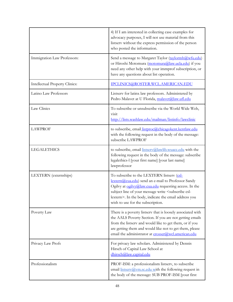|                                       | 4) If I am interested in collecting case examples for<br>advocacy purposes, I will not use material from this<br>listserv without the express permission of the person<br>who posted the information.                                                                                                                             |
|---------------------------------------|-----------------------------------------------------------------------------------------------------------------------------------------------------------------------------------------------------------------------------------------------------------------------------------------------------------------------------------|
| Immigration Law Professors:           | Send a message to Margaret Taylor (taylormh@wfu.edu)<br>or Hiroshi Motomura (motomura@law.ucla.edu) if you<br>need any other help with your immprof subscription, or<br>have any questions about list operation.                                                                                                                  |
| <b>Intellectual Property Clinics:</b> | IPCLINICS@ROSTER.WCL.AMERICAN.EDU                                                                                                                                                                                                                                                                                                 |
| Latino Law Professors                 | Listserv for latinx law professors. Administered by<br>Pedro Malavet at U Florida, malavet@law.ufl.edu                                                                                                                                                                                                                            |
| Law Clinics                           | To subscribe or unsubscribe via the World Wide Web,<br>visit<br>http://lists.washlaw.edu/mailman/listinfo/lawclinic                                                                                                                                                                                                               |
| <b>LAWPROF</b>                        | to subscribe, email <i>listproc@chicagokent.kentlaw.edu</i><br>with the following request in the body of the message:<br>subscribe LAWPROF                                                                                                                                                                                        |
| <b>LEGALETHICS</b>                    | to subscribe, email <i>listserv@lawlib.wuacc.edu</i> with the<br>following request in the body of the message: subscribe<br>legalethics-l [your first name] [your last name]<br>lawprofessor                                                                                                                                      |
| LEXTERN (externships)                 | To subscribe to the LEXTERN listserv (csl-<br>lextern@cua.edu) send an e-mail to Professor Sandy<br>Ogilvy at ogilvy@law.cua.edu requesting access. In the<br>subject line of your message write <subscribe csl-<br="">lextern&gt;. In the body, indicate the email address you<br/>wish to use for the subscription.</subscribe> |
| Poverty Law                           | There is a poverty listserv that is loosely associated with<br>the AALS Poverty Section. If you are not getting emails<br>from the listserv and would like to get them, or if you<br>are getting them and would like not to get them, please<br>email the administrator at erosser@wcl.american.edu                               |
| Privacy Law Profs                     | For privacy law scholars. Administered by Dennis<br>Hirsch of Capital Law School at<br>dhirsch@law.capital.edu                                                                                                                                                                                                                    |
| Professionalism                       | PROF-ISM: a professionalism listserv, to subscribe<br>email <i>listserv@ym.sc.edu</i> with the following request in<br>the body of the message: SUB PROF-ISM [your first                                                                                                                                                          |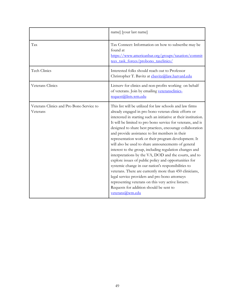|                                                      | name] [your last name]                                                                                                                                                                                                                                                                                                                                                                                                                                                                                                                                                                                                                                                                                                                                                                                                                                                                                                                                   |
|------------------------------------------------------|----------------------------------------------------------------------------------------------------------------------------------------------------------------------------------------------------------------------------------------------------------------------------------------------------------------------------------------------------------------------------------------------------------------------------------------------------------------------------------------------------------------------------------------------------------------------------------------------------------------------------------------------------------------------------------------------------------------------------------------------------------------------------------------------------------------------------------------------------------------------------------------------------------------------------------------------------------|
| Tax                                                  | Tax Connect: Information on how to subscribe may be<br>found at<br>https://www.americanbar.org/groups/taxation/commit<br>tees task forces/probono taxclinics/                                                                                                                                                                                                                                                                                                                                                                                                                                                                                                                                                                                                                                                                                                                                                                                            |
| Tech Clinics                                         | Interested folks should reach out to Professor<br>Christopher T. Bavitz at chavitz@law.harvard.edu                                                                                                                                                                                                                                                                                                                                                                                                                                                                                                                                                                                                                                                                                                                                                                                                                                                       |
| Veterans Clinics                                     | Listserv for clinics and non-profits working on behalf<br>of veterans. Join by emailing veteransclinics-<br>request@lists.wm.edu                                                                                                                                                                                                                                                                                                                                                                                                                                                                                                                                                                                                                                                                                                                                                                                                                         |
| Veterans Clinics and Pro Bono Service to<br>Veterans | This list will be utilized for law schools and law firms<br>already engaged in pro bono veteran clinic efforts or<br>interested in starting such an initiative at their institution.<br>It will be limited to pro bono service for veterans, and is<br>designed to share best practices, encourage collaboration<br>and provide assistance to list members in their<br>representation work or their program development. It<br>will also be used to share announcements of general<br>interest to the group, including regulation changes and<br>interpretations by the VA, DOD and the courts, and to<br>explore issues of public policy and opportunities for<br>systemic change in our nation's responsibilities to<br>veterans. There are currently more than 450 clinicians,<br>legal service providers and pro bono attorneys<br>representing veterans on this very active listserv.<br>Requests for addition should be sent to<br>veterans@wm.edu |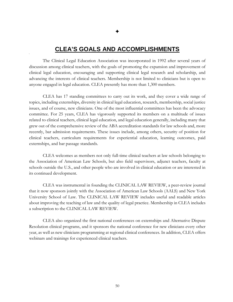# **CLEA'S GOALS AND ACCOMPLISHMENTS**

The Clinical Legal Education Association was incorporated in 1992 after several years of discussion among clinical teachers, with the goals of promoting the expansion and improvement of clinical legal education, encouraging and supporting clinical legal research and scholarship, and advancing the interests of clinical teachers. Membership is not limited to clinicians but is open to anyone engaged in legal education. CLEA presently has more than 1,300 members.

CLEA has 17 standing committees to carry out its work, and they cover a wide range of topics, including externships, diversity in clinical legal education, research, membership, social justice issues, and of course, new clinicians. One of the most influential committees has been the advocacy committee. For 25 years, CLEA has vigorously supported its members on a multitude of issues related to clinical teachers, clinical legal education, and legal education generally, including many that grew out of the comprehensive review of the ABA accreditation standards for law schools and, more recently, bar admission requirements. These issues include, among others, security of position for clinical teachers, curriculum requirements for experiential education, learning outcomes, paid externships, and bar passage standards.

CLEA welcomes as members not only full-time clinical teachers at law schools belonging to the Association of American Law Schools, but also field supervisors, adjunct teachers, faculty at schools outside the U.S., and other people who are involved in clinical education or are interested in its continued development.

CLEA was instrumental in founding the CLINICAL LAW REVIEW, a peer-review journal that it now sponsors jointly with the Association of American Law Schools (AALS) and New York University School of Law. The CLINICAL LAW REVIEW includes useful and readable articles about improving the teaching of law and the quality of legal practice. Membership in CLEA includes a subscription to the CLINICAL LAW REVIEW.

CLEA also organized the first national conferences on externships and Alternative Dispute Resolution clinical programs, and it sponsors the national conference for new clinicians every other year, as well as new clinicians programming at regional clinical conferences. In addition, CLEA offers webinars and trainings for experienced clinical teachers.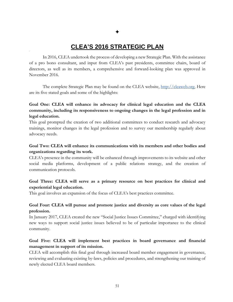# **CLEA'S 2016 STRATEGIC PLAN**

<span id="page-51-0"></span>In 2016, CLEA undertook the process of developing a new Strategic Plan. With the assistance of a pro bono consultant, and input from CLEA's past presidents, committee chairs, board of directors, as well as its members, a comprehensive and forward-looking plan was approved in November 2016.

The complete Strategic Plan may be found on the CLEA website, [http://cleaweb.org.](http://cleaweb.org/) Here are its five stated goals and some of the highlights:

# **Goal One: CLEA will enhance its advocacy for clinical legal education and the CLEA community, including its responsiveness to ongoing changes in the legal profession and in legal education.**

This goal prompted the creation of two additional committees to conduct research and advocacy trainings, monitor changes in the legal profession and to survey our membership regularly about advocacy needs.

### **Goal Two: CLEA will enhance its communications with its members and other bodies and organizations regarding its work.**

CLEA's presence in the community will be enhanced through improvements to its website and other social media platforms, development of a public relations strategy, and the creation of communication protocols.

### **Goal Three: CLEA will serve as a primary resource on best practices for clinical and experiential legal education.**

This goal involves an expansion of the focus of CLEA's best practices committee.

#### **Goal Four: CLEA will pursue and promote justice and diversity as core values of the legal profession.**

In January 2017, CLEA created the new "Social Justice Issues Committee," charged with identifying new ways to support social justice issues believed to be of particular importance to the clinical community.

### **Goal Five: CLEA will implement best practices in board governance and financial management in support of its mission.**

CLEA will accomplish this final goal through increased board member engagement in governance, reviewing and evaluating existing by-laws, policies and procedures, and strengthening our training of newly elected CLEA board members.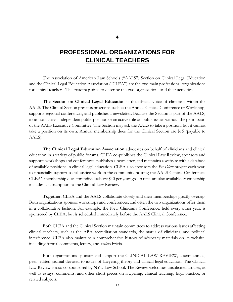# ✦

# **PROFESSIONAL ORGANIZATIONS FOR CLINICAL TEACHERS**

<span id="page-52-0"></span>The Association of American Law Schools ("AALS") Section on Clinical Legal Education and the Clinical Legal Education Association ("CLEA") are the two main professional organizations for clinical teachers. This roadmap aims to describe the two organizations and their activities.

**The Section on Clinical Legal Education** is the official voice of clinicians within the AALS. The Clinical Section presents programs such as the Annual Clinical Conference or Workshop, supports regional conferences, and publishes a newsletter. Because the Section is part of the AALS, it cannot take an independent public position or an active role on public issues without the permission of the AALS Executive Committee. The Section may ask the AALS to take a position, but it cannot take a position on its own. Annual membership dues for the Clinical Section are \$15 (payable to AALS).

**The Clinical Legal Education Association** advocates on behalf of clinicians and clinical education in a variety of public forums. CLEA co-publishes the Clinical Law Review, sponsors and supports workshops and conferences, publishes a newsletter, and maintains a website with a database of available positions in clinical legal education. CLEA also sponsors the *Per Diem* project each year, to financially support social justice work in the community hosting the AALS Clinical Conference. CLEA's membership dues for individuals are \$40 per year; group rates are also available. Membership includes a subscription to the Clinical Law Review.

**Together**, CLEA and the AALS collaborate closely and their memberships greatly overlap. Both organizations sponsor workshops and conferences, and often the two organizations offer them in a collaborative fashion. For example, the New Clinicians Conference, held every other year, is sponsored by CLEA, but is scheduled immediately before the AALS Clinical Conference.

Both CLEA and the Clinical Section maintain committees to address various issues affecting clinical teachers, such as the ABA accreditation standards, the status of clinicians, and political interference. CLEA also maintains a comprehensive history of advocacy materials on its website, including formal comments, letters, and *amicus* briefs.

Both organizations sponsor and support the CLINICAL LAW REVIEW, a semi-annual, peer- edited journal devoted to issues of lawyering theory and clinical legal education. The Clinical Law Review is also co-sponsored by NYU Law School. The Review welcomes unsolicited articles, as well as essays, comments, and other short pieces on lawyering, clinical teaching, legal practice, or related subjects.